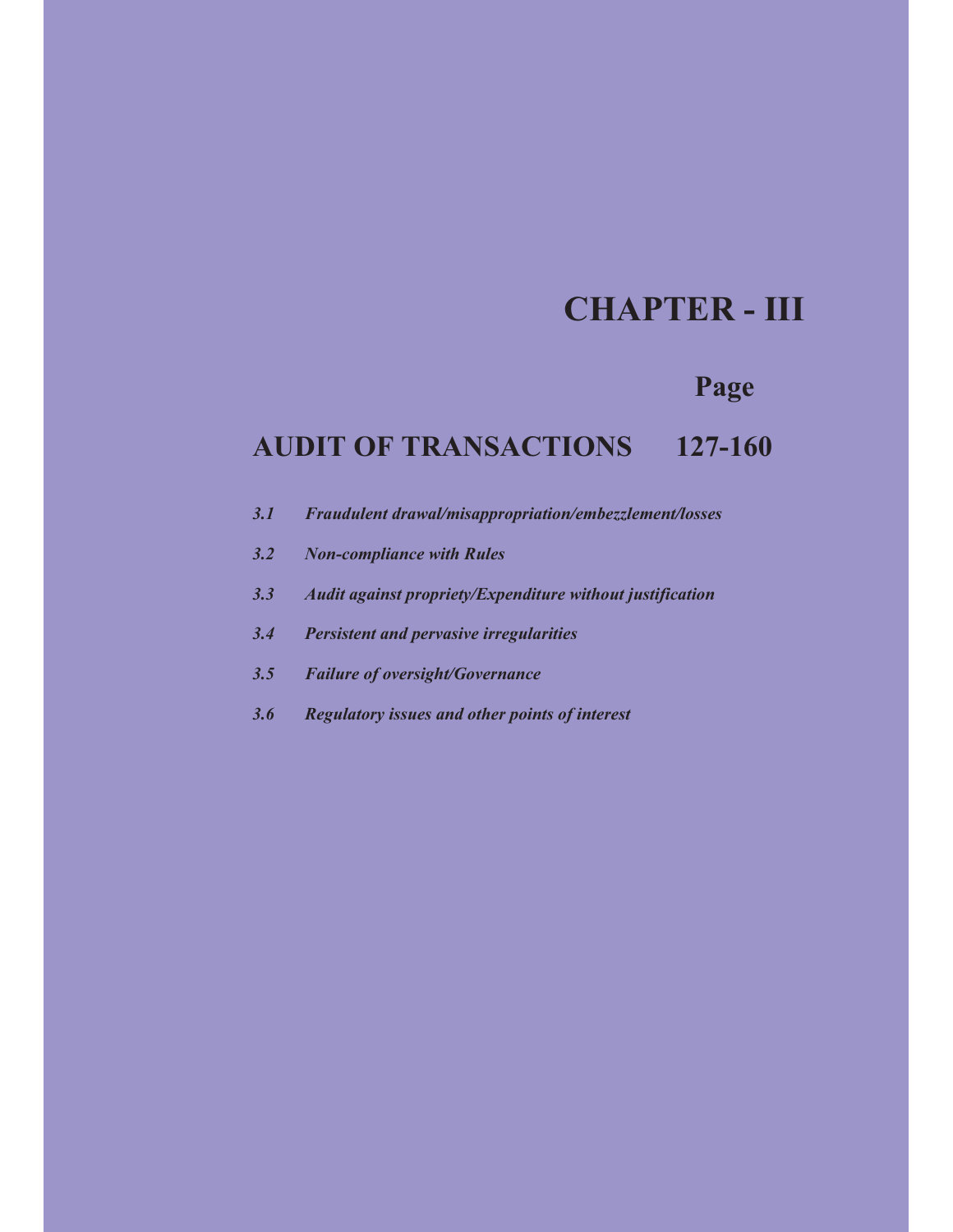# **CHAPTER - III**

## **Page**

## **AUDIT OF TRANSACTIONS 127-160**

- *3.1 Fraudulent drawal/misappropriation/embezzlement/losses*
- *3.2 Non-compliance with Rules*
- *3.3 Audit against propriety/Expenditure without justification*
- *3.4 Persistent and pervasive irregularities*
- *3.5 Failure of oversight/Governance*
- *3.6 Regulatory issues and other points of interest*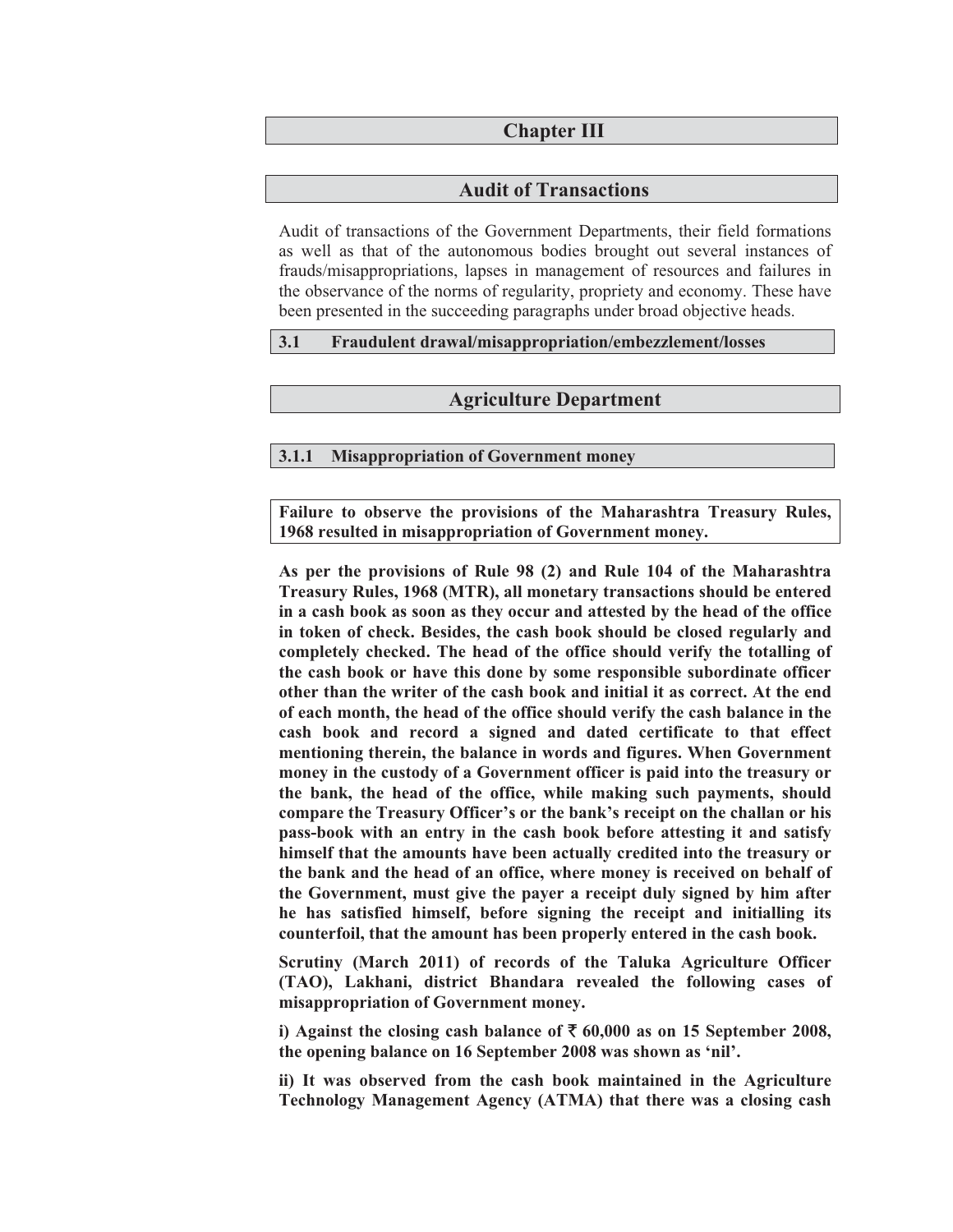#### **Chapter III**

#### **Audit of Transactions**

Audit of transactions of the Government Departments, their field formations as well as that of the autonomous bodies brought out several instances of frauds/misappropriations, lapses in management of resources and failures in the observance of the norms of regularity, propriety and economy. These have been presented in the succeeding paragraphs under broad objective heads.

#### **3.1 Fraudulent drawal/misappropriation/embezzlement/losses**

#### **Agriculture Department**

#### **3.1.1 Misappropriation of Government money**

**Failure to observe the provisions of the Maharashtra Treasury Rules, 1968 resulted in misappropriation of Government money.** 

**As per the provisions of Rule 98 (2) and Rule 104 of the Maharashtra Treasury Rules, 1968 (MTR), all monetary transactions should be entered in a cash book as soon as they occur and attested by the head of the office in token of check. Besides, the cash book should be closed regularly and completely checked. The head of the office should verify the totalling of the cash book or have this done by some responsible subordinate officer other than the writer of the cash book and initial it as correct. At the end of each month, the head of the office should verify the cash balance in the cash book and record a signed and dated certificate to that effect mentioning therein, the balance in words and figures. When Government money in the custody of a Government officer is paid into the treasury or the bank, the head of the office, while making such payments, should compare the Treasury Officer's or the bank's receipt on the challan or his pass-book with an entry in the cash book before attesting it and satisfy himself that the amounts have been actually credited into the treasury or the bank and the head of an office, where money is received on behalf of the Government, must give the payer a receipt duly signed by him after he has satisfied himself, before signing the receipt and initialling its counterfoil, that the amount has been properly entered in the cash book.** 

**Scrutiny (March 2011) of records of the Taluka Agriculture Officer (TAO), Lakhani, district Bhandara revealed the following cases of misappropriation of Government money.** 

i) Against the closing cash balance of  $\bar{\xi}$  60,000 as on 15 September 2008, **the opening balance on 16 September 2008 was shown as 'nil'.** 

**ii) It was observed from the cash book maintained in the Agriculture Technology Management Agency (ATMA) that there was a closing cash**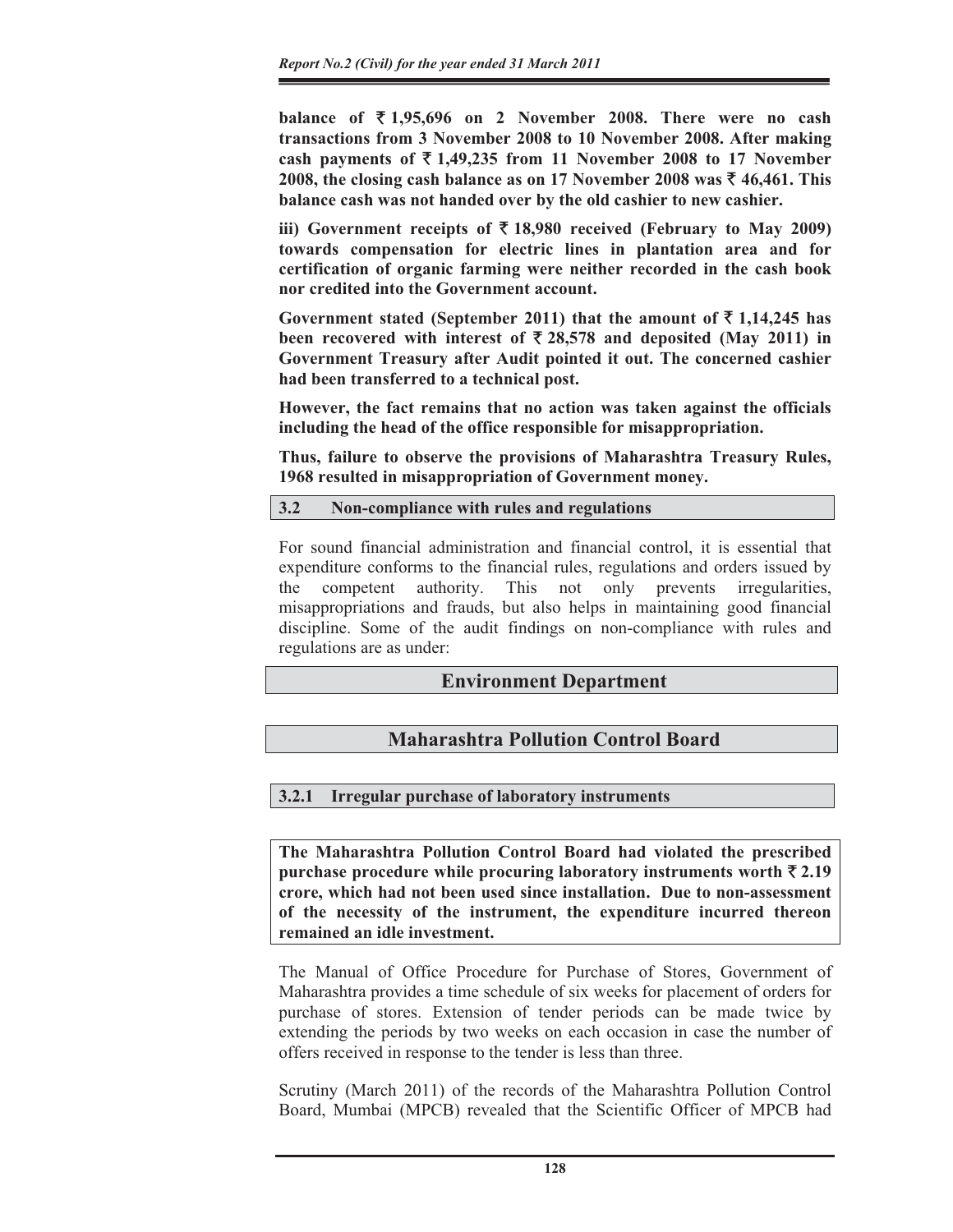**balance of** ` **1,95,696 on 2 November 2008. There were no cash transactions from 3 November 2008 to 10 November 2008. After making**  cash payments of  $\overline{\xi}$  1,49,235 from 11 November 2008 to 17 November **2008, the closing cash balance as on 17 November 2008 was** ` **46,461. This balance cash was not handed over by the old cashier to new cashier.** 

iii) Government receipts of  $\bar{\tau}$  18,980 received (February to May 2009) **towards compensation for electric lines in plantation area and for certification of organic farming were neither recorded in the cash book nor credited into the Government account.** 

Government stated (September 2011) that the amount of  $\bar{\tau}$  1,14,245 has been recovered with interest of  $\bar{\tau}$  28,578 and deposited (May 2011) in **Government Treasury after Audit pointed it out. The concerned cashier had been transferred to a technical post.** 

**However, the fact remains that no action was taken against the officials including the head of the office responsible for misappropriation.** 

**Thus, failure to observe the provisions of Maharashtra Treasury Rules, 1968 resulted in misappropriation of Government money.** 

#### **3.2 Non-compliance with rules and regulations**

For sound financial administration and financial control, it is essential that expenditure conforms to the financial rules, regulations and orders issued by the competent authority. This not only prevents irregularities, misappropriations and frauds, but also helps in maintaining good financial discipline. Some of the audit findings on non-compliance with rules and regulations are as under:

## **Environment Department**

## **Maharashtra Pollution Control Board**

## **3.2.1 Irregular purchase of laboratory instruments**

**The Maharashtra Pollution Control Board had violated the prescribed purchase procedure while procuring laboratory instruments worth**  $\bar{\tau}$  **2.19 crore, which had not been used since installation. Due to non-assessment of the necessity of the instrument, the expenditure incurred thereon remained an idle investment.** 

The Manual of Office Procedure for Purchase of Stores, Government of Maharashtra provides a time schedule of six weeks for placement of orders for purchase of stores. Extension of tender periods can be made twice by extending the periods by two weeks on each occasion in case the number of offers received in response to the tender is less than three.

Scrutiny (March 2011) of the records of the Maharashtra Pollution Control Board, Mumbai (MPCB) revealed that the Scientific Officer of MPCB had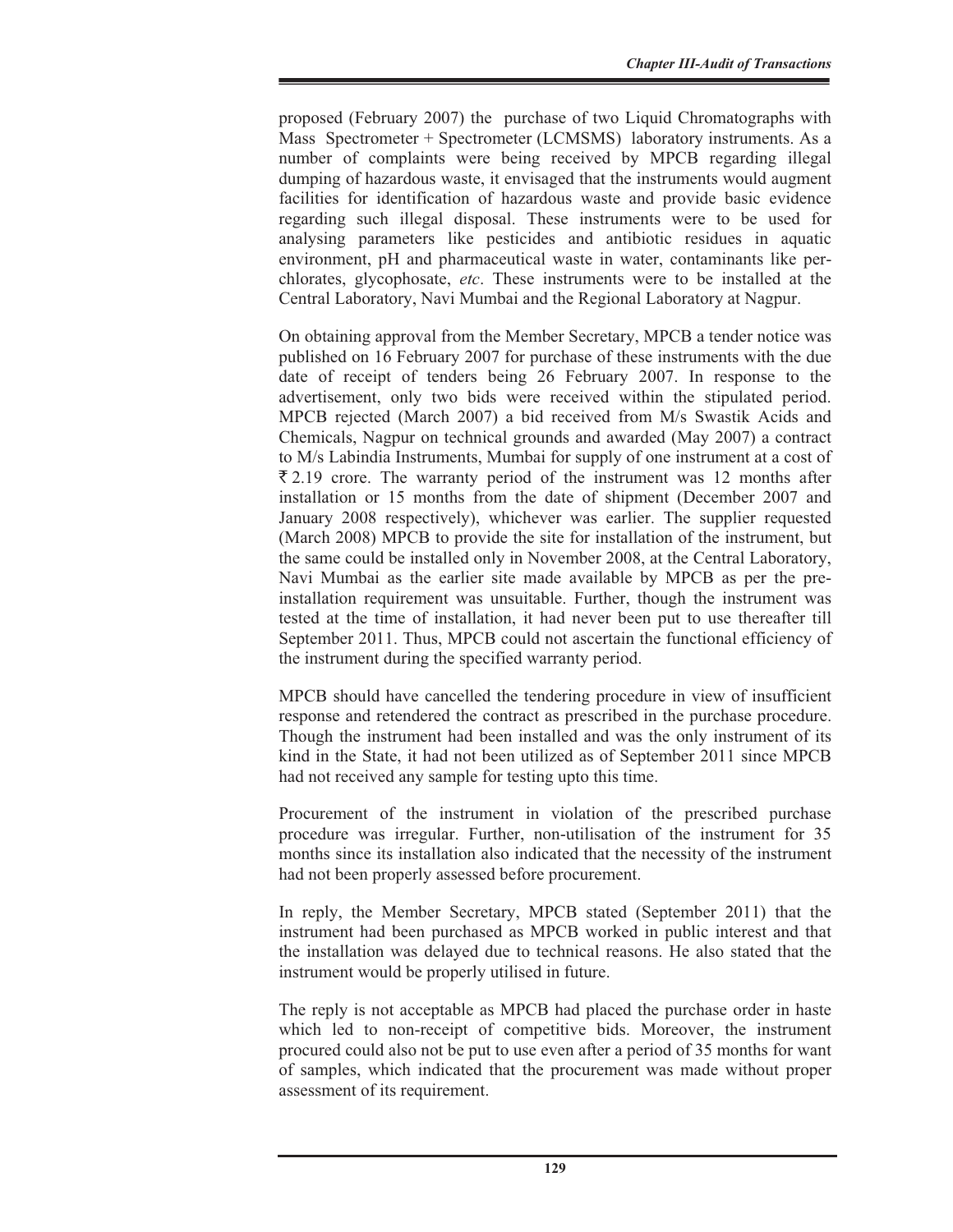proposed (February 2007) the purchase of two Liquid Chromatographs with Mass Spectrometer + Spectrometer (LCMSMS) laboratory instruments. As a number of complaints were being received by MPCB regarding illegal dumping of hazardous waste, it envisaged that the instruments would augment facilities for identification of hazardous waste and provide basic evidence regarding such illegal disposal. These instruments were to be used for analysing parameters like pesticides and antibiotic residues in aquatic environment, pH and pharmaceutical waste in water, contaminants like perchlorates, glycophosate, *etc*. These instruments were to be installed at the Central Laboratory, Navi Mumbai and the Regional Laboratory at Nagpur.

On obtaining approval from the Member Secretary, MPCB a tender notice was published on 16 February 2007 for purchase of these instruments with the due date of receipt of tenders being 26 February 2007. In response to the advertisement, only two bids were received within the stipulated period. MPCB rejected (March 2007) a bid received from M/s Swastik Acids and Chemicals, Nagpur on technical grounds and awarded (May 2007) a contract to M/s Labindia Instruments, Mumbai for supply of one instrument at a cost of  $\overline{2}$  2.19 crore. The warranty period of the instrument was 12 months after installation or 15 months from the date of shipment (December 2007 and January 2008 respectively), whichever was earlier. The supplier requested (March 2008) MPCB to provide the site for installation of the instrument, but the same could be installed only in November 2008, at the Central Laboratory, Navi Mumbai as the earlier site made available by MPCB as per the preinstallation requirement was unsuitable. Further, though the instrument was tested at the time of installation, it had never been put to use thereafter till September 2011. Thus, MPCB could not ascertain the functional efficiency of the instrument during the specified warranty period.

MPCB should have cancelled the tendering procedure in view of insufficient response and retendered the contract as prescribed in the purchase procedure. Though the instrument had been installed and was the only instrument of its kind in the State, it had not been utilized as of September 2011 since MPCB had not received any sample for testing upto this time.

Procurement of the instrument in violation of the prescribed purchase procedure was irregular. Further, non-utilisation of the instrument for 35 months since its installation also indicated that the necessity of the instrument had not been properly assessed before procurement.

In reply, the Member Secretary, MPCB stated (September 2011) that the instrument had been purchased as MPCB worked in public interest and that the installation was delayed due to technical reasons. He also stated that the instrument would be properly utilised in future.

The reply is not acceptable as MPCB had placed the purchase order in haste which led to non-receipt of competitive bids. Moreover, the instrument procured could also not be put to use even after a period of 35 months for want of samples, which indicated that the procurement was made without proper assessment of its requirement.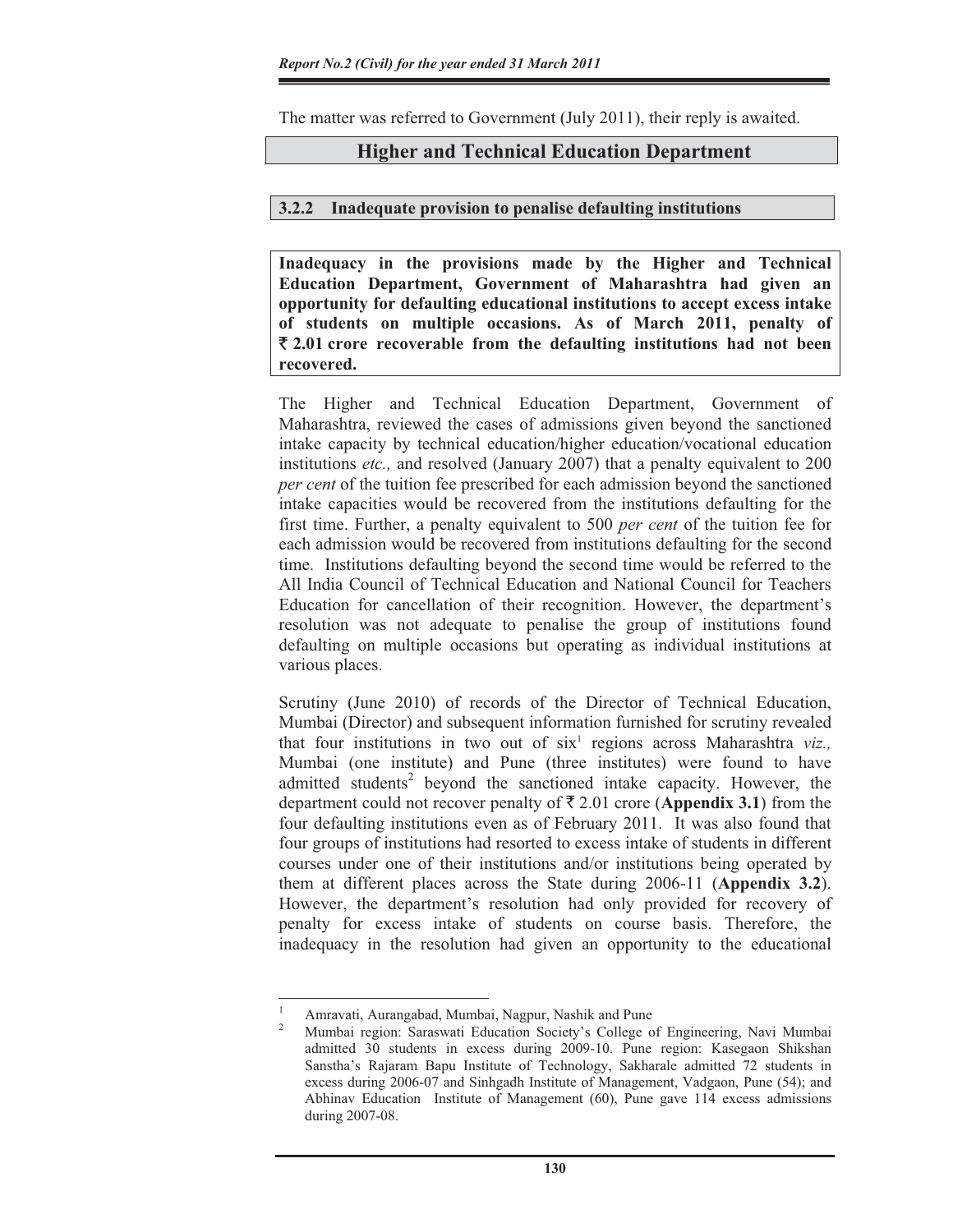The matter was referred to Government (July 2011), their reply is awaited.

#### **Higher and Technical Education Department**

#### **3.2.2 Inadequate provision to penalise defaulting institutions**

**Inadequacy in the provisions made by the Higher and Technical Education Department, Government of Maharashtra had given an opportunity for defaulting educational institutions to accept excess intake of students on multiple occasions. As of March 2011, penalty of**  ` **2.01 crore recoverable from the defaulting institutions had not been recovered.**

The Higher and Technical Education Department, Government of Maharashtra, reviewed the cases of admissions given beyond the sanctioned intake capacity by technical education/higher education/vocational education institutions *etc.,* and resolved (January 2007) that a penalty equivalent to 200 *per cent* of the tuition fee prescribed for each admission beyond the sanctioned intake capacities would be recovered from the institutions defaulting for the first time. Further, a penalty equivalent to 500 *per cent* of the tuition fee for each admission would be recovered from institutions defaulting for the second time. Institutions defaulting beyond the second time would be referred to the All India Council of Technical Education and National Council for Teachers Education for cancellation of their recognition. However, the department's resolution was not adequate to penalise the group of institutions found defaulting on multiple occasions but operating as individual institutions at various places.

Scrutiny (June 2010) of records of the Director of Technical Education, Mumbai (Director) and subsequent information furnished for scrutiny revealed that four institutions in two out of six<sup>1</sup> regions across Maharashtra viz., Mumbai (one institute) and Pune (three institutes) were found to have admitted students<sup>2</sup> beyond the sanctioned intake capacity. However, the department could not recover penalty of  $\bar{\tau}$  2.01 crore (**Appendix 3.1**) from the four defaulting institutions even as of February 2011. It was also found that four groups of institutions had resorted to excess intake of students in different courses under one of their institutions and/or institutions being operated by them at different places across the State during 2006-11 (**Appendix 3.2**). However, the department's resolution had only provided for recovery of penalty for excess intake of students on course basis. Therefore, the inadequacy in the resolution had given an opportunity to the educational

<sup>1</sup> Amravati, Aurangabad, Mumbai, Nagpur, Nashik and Pune

<sup>2</sup> Mumbai region: Saraswati Education Society's College of Engineering, Navi Mumbai admitted 30 students in excess during 2009-10. Pune region: Kasegaon Shikshan Sanstha's Rajaram Bapu Institute of Technology, Sakharale admitted 72 students in excess during 2006-07 and Sinhgadh Institute of Management, Vadgaon, Pune (54); and Abhinav Education Institute of Management (60), Pune gave 114 excess admissions during 2007-08.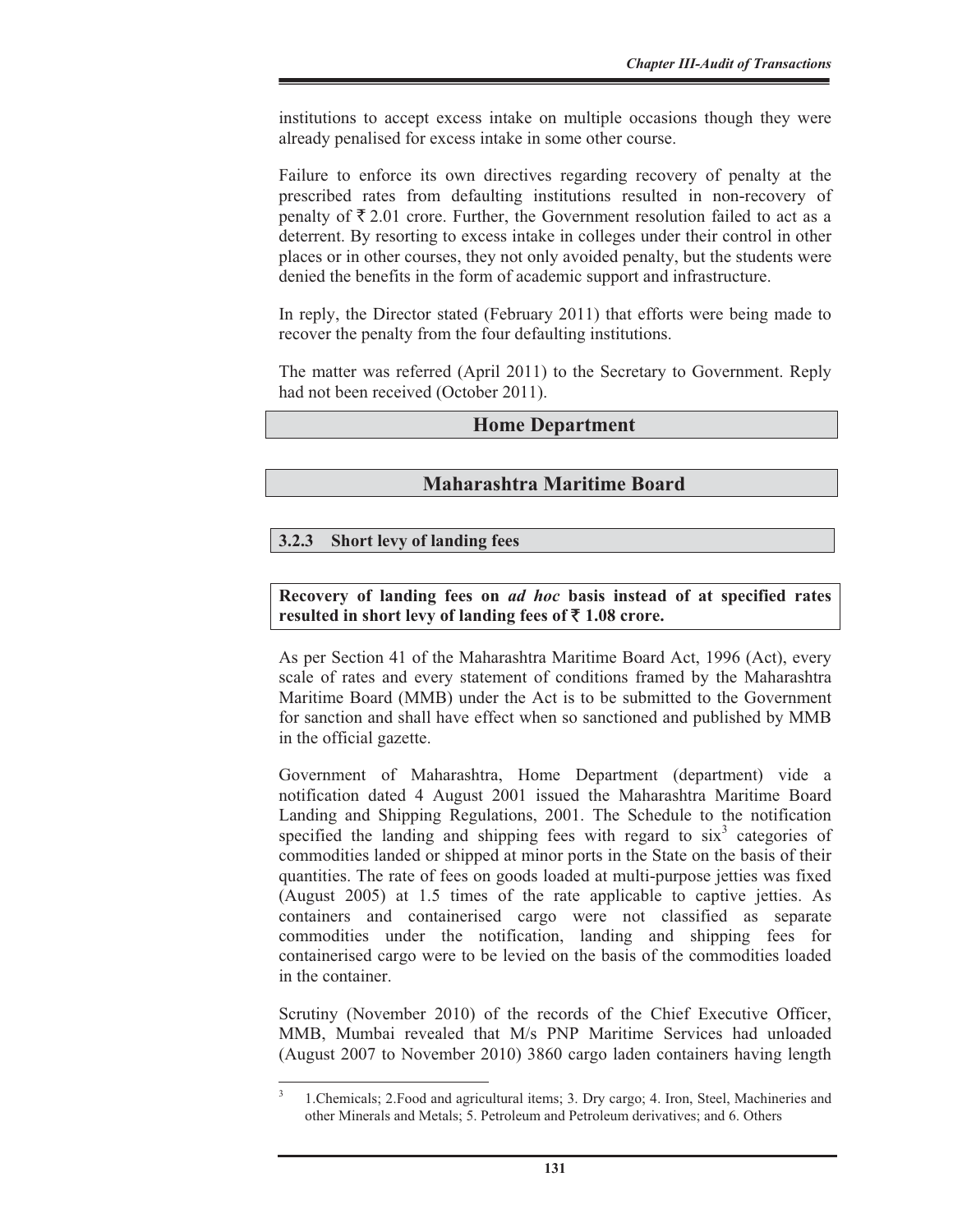institutions to accept excess intake on multiple occasions though they were already penalised for excess intake in some other course.

Failure to enforce its own directives regarding recovery of penalty at the prescribed rates from defaulting institutions resulted in non-recovery of penalty of  $\bar{\xi}$  2.01 crore. Further, the Government resolution failed to act as a deterrent. By resorting to excess intake in colleges under their control in other places or in other courses, they not only avoided penalty, but the students were denied the benefits in the form of academic support and infrastructure.

In reply, the Director stated (February 2011) that efforts were being made to recover the penalty from the four defaulting institutions.

The matter was referred (April 2011) to the Secretary to Government. Reply had not been received (October 2011).

#### **Home Department**

## **Maharashtra Maritime Board**

#### **3.2.3 Short levy of landing fees**

#### **Recovery of landing fees on** *ad hoc* **basis instead of at specified rates**  resulted in short levy of landing fees of  $\bar{\tau}$  1.08 crore.

As per Section 41 of the Maharashtra Maritime Board Act, 1996 (Act), every scale of rates and every statement of conditions framed by the Maharashtra Maritime Board (MMB) under the Act is to be submitted to the Government for sanction and shall have effect when so sanctioned and published by MMB in the official gazette.

Government of Maharashtra, Home Department (department) vide a notification dated 4 August 2001 issued the Maharashtra Maritime Board Landing and Shipping Regulations, 2001. The Schedule to the notification specified the landing and shipping fees with regard to  $six^3$  categories of commodities landed or shipped at minor ports in the State on the basis of their quantities. The rate of fees on goods loaded at multi-purpose jetties was fixed (August 2005) at 1.5 times of the rate applicable to captive jetties. As containers and containerised cargo were not classified as separate commodities under the notification, landing and shipping fees for containerised cargo were to be levied on the basis of the commodities loaded in the container.

Scrutiny (November 2010) of the records of the Chief Executive Officer, MMB, Mumbai revealed that M/s PNP Maritime Services had unloaded (August 2007 to November 2010) 3860 cargo laden containers having length

<sup>3</sup> 1.Chemicals; 2.Food and agricultural items; 3. Dry cargo; 4. Iron, Steel, Machineries and other Minerals and Metals; 5. Petroleum and Petroleum derivatives; and 6. Others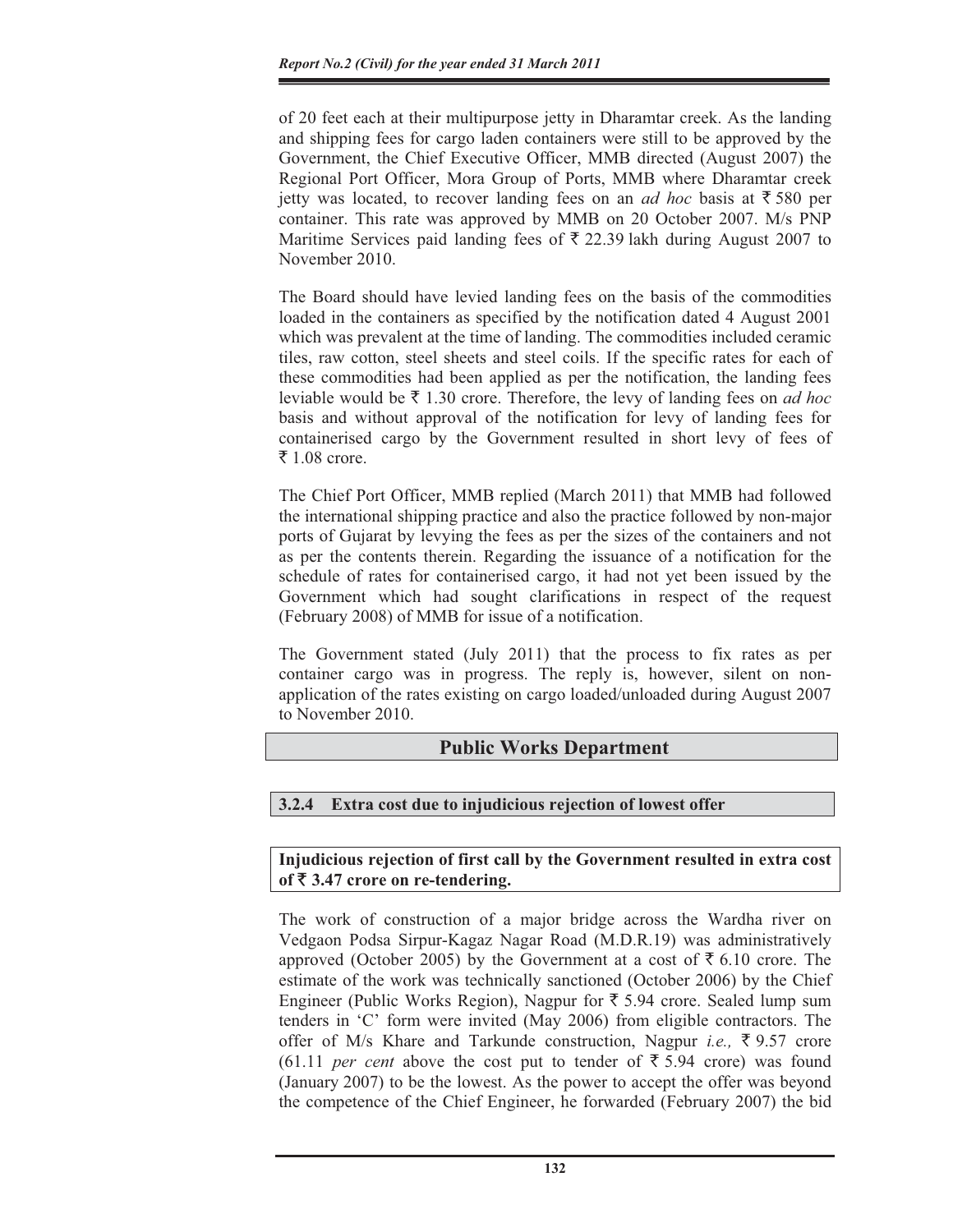of 20 feet each at their multipurpose jetty in Dharamtar creek. As the landing and shipping fees for cargo laden containers were still to be approved by the Government, the Chief Executive Officer, MMB directed (August 2007) the Regional Port Officer, Mora Group of Ports, MMB where Dharamtar creek jetty was located, to recover landing fees on an *ad hoc* basis at  $\bar{z}$  580 per container. This rate was approved by MMB on 20 October 2007. M/s PNP Maritime Services paid landing fees of  $\bar{\tau}$  22.39 lakh during August 2007 to November 2010.

The Board should have levied landing fees on the basis of the commodities loaded in the containers as specified by the notification dated 4 August 2001 which was prevalent at the time of landing. The commodities included ceramic tiles, raw cotton, steel sheets and steel coils. If the specific rates for each of these commodities had been applied as per the notification, the landing fees leviable would be  $\bar{\xi}$  1.30 crore. Therefore, the levy of landing fees on *ad hoc* basis and without approval of the notification for levy of landing fees for containerised cargo by the Government resulted in short levy of fees of ₹ 1.08 crore.

The Chief Port Officer, MMB replied (March 2011) that MMB had followed the international shipping practice and also the practice followed by non-major ports of Gujarat by levying the fees as per the sizes of the containers and not as per the contents therein. Regarding the issuance of a notification for the schedule of rates for containerised cargo, it had not yet been issued by the Government which had sought clarifications in respect of the request (February 2008) of MMB for issue of a notification.

The Government stated (July 2011) that the process to fix rates as per container cargo was in progress. The reply is, however, silent on nonapplication of the rates existing on cargo loaded/unloaded during August 2007 to November 2010.

## **Public Works Department**

## **3.2.4 Extra cost due to injudicious rejection of lowest offer**

## **Injudicious rejection of first call by the Government resulted in extra cost of** ` **3.47 crore on re-tendering.**

The work of construction of a major bridge across the Wardha river on Vedgaon Podsa Sirpur-Kagaz Nagar Road (M.D.R.19) was administratively approved (October 2005) by the Government at a cost of  $\bar{\xi}$  6.10 crore. The estimate of the work was technically sanctioned (October 2006) by the Chief Engineer (Public Works Region), Nagpur for  $\bar{\tau}$  5.94 crore. Sealed lump sum tenders in 'C' form were invited (May 2006) from eligible contractors. The offer of M/s Khare and Tarkunde construction, Nagpur *i.e.,* ` 9.57 crore  $(61.11$  *per cent* above the cost put to tender of  $\overline{\xi}$  5.94 crore) was found (January 2007) to be the lowest. As the power to accept the offer was beyond the competence of the Chief Engineer, he forwarded (February 2007) the bid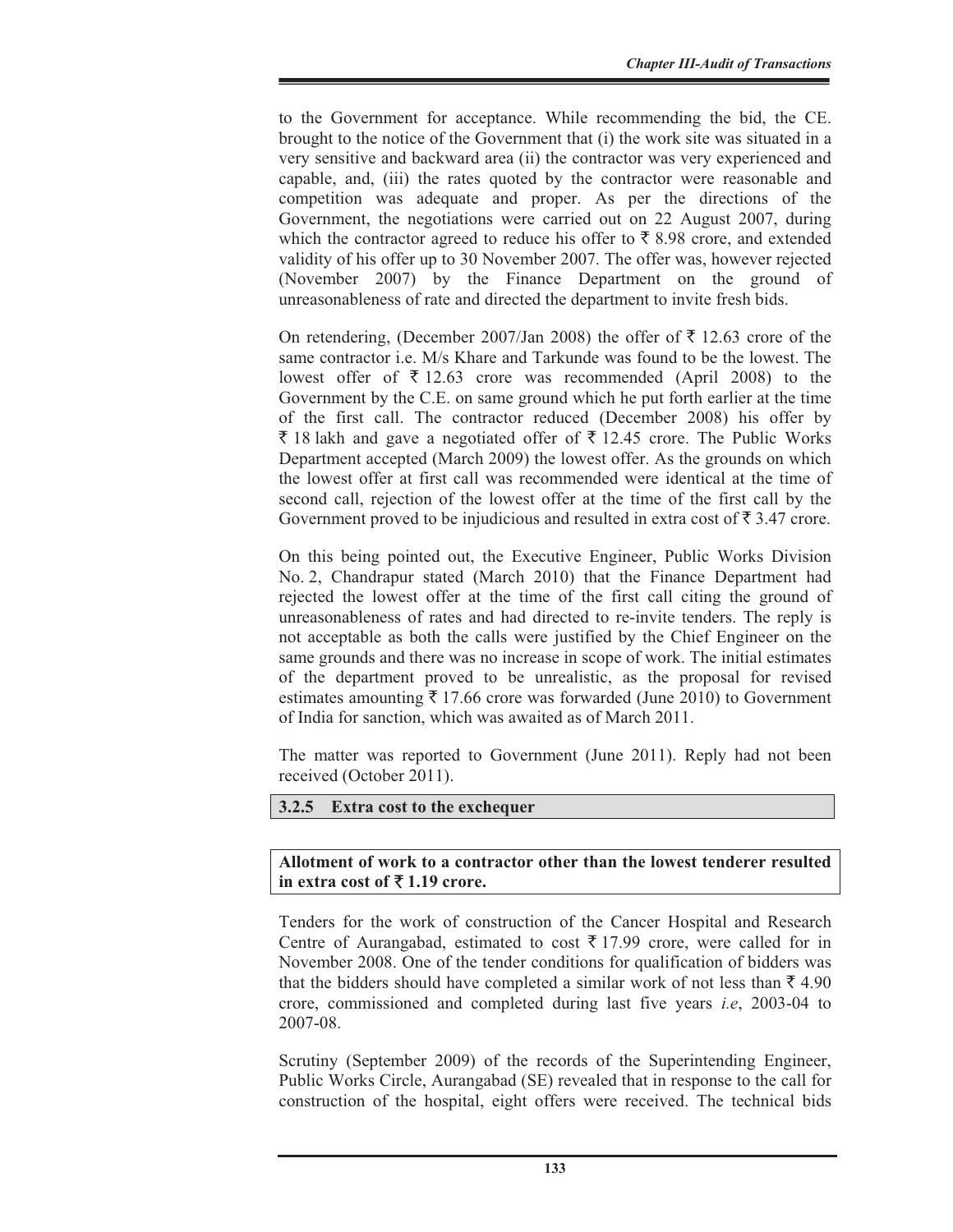to the Government for acceptance. While recommending the bid, the CE. brought to the notice of the Government that (i) the work site was situated in a very sensitive and backward area (ii) the contractor was very experienced and capable, and, (iii) the rates quoted by the contractor were reasonable and competition was adequate and proper. As per the directions of the Government, the negotiations were carried out on 22 August 2007, during which the contractor agreed to reduce his offer to  $\bar{\tau}$  8.98 crore, and extended validity of his offer up to 30 November 2007. The offer was, however rejected (November 2007) by the Finance Department on the ground of unreasonableness of rate and directed the department to invite fresh bids.

On retendering, (December 2007/Jan 2008) the offer of  $\bar{\tau}$  12.63 crore of the same contractor i.e. M/s Khare and Tarkunde was found to be the lowest. The lowest offer of  $\bar{\tau}$  12.63 crore was recommended (April 2008) to the Government by the C.E. on same ground which he put forth earlier at the time of the first call. The contractor reduced (December 2008) his offer by  $\bar{\xi}$  18 lakh and gave a negotiated offer of  $\bar{\xi}$  12.45 crore. The Public Works Department accepted (March 2009) the lowest offer. As the grounds on which the lowest offer at first call was recommended were identical at the time of second call, rejection of the lowest offer at the time of the first call by the Government proved to be injudicious and resulted in extra cost of  $\bar{\tau}$  3.47 crore.

On this being pointed out, the Executive Engineer, Public Works Division No. 2, Chandrapur stated (March 2010) that the Finance Department had rejected the lowest offer at the time of the first call citing the ground of unreasonableness of rates and had directed to re-invite tenders. The reply is not acceptable as both the calls were justified by the Chief Engineer on the same grounds and there was no increase in scope of work. The initial estimates of the department proved to be unrealistic, as the proposal for revised estimates amounting  $\bar{\tau}$  17.66 crore was forwarded (June 2010) to Government of India for sanction, which was awaited as of March 2011.

The matter was reported to Government (June 2011). Reply had not been received (October 2011).

#### **3.2.5 Extra cost to the exchequer**

**Allotment of work to a contractor other than the lowest tenderer resulted**  in extra cost of  $\bar{\tau}$  1.19 crore.

Tenders for the work of construction of the Cancer Hospital and Research Centre of Aurangabad, estimated to cost  $\bar{\tau}$  17.99 crore, were called for in November 2008. One of the tender conditions for qualification of bidders was that the bidders should have completed a similar work of not less than  $\bar{\tau}$  4.90 crore, commissioned and completed during last five years *i.e*, 2003-04 to 2007-08.

Scrutiny (September 2009) of the records of the Superintending Engineer, Public Works Circle, Aurangabad (SE) revealed that in response to the call for construction of the hospital, eight offers were received. The technical bids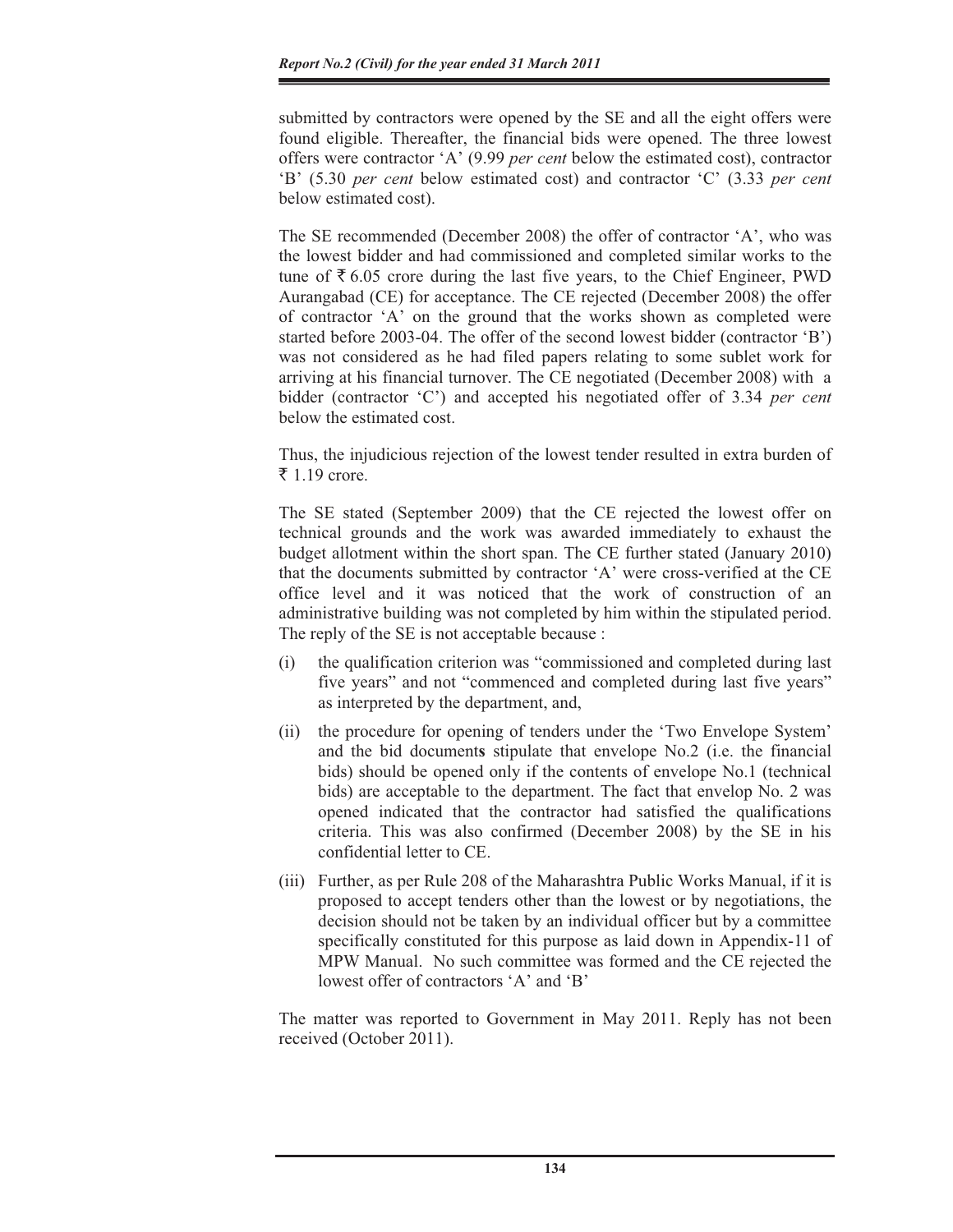submitted by contractors were opened by the SE and all the eight offers were found eligible. Thereafter, the financial bids were opened. The three lowest offers were contractor 'A' (9.99 *per cent* below the estimated cost), contractor 'B' (5.30 *per cent* below estimated cost) and contractor 'C' (3.33 *per cent* below estimated cost).

The SE recommended (December 2008) the offer of contractor 'A', who was the lowest bidder and had commissioned and completed similar works to the tune of  $\bar{\tau}$  6.05 crore during the last five years, to the Chief Engineer, PWD Aurangabad (CE) for acceptance. The CE rejected (December 2008) the offer of contractor 'A' on the ground that the works shown as completed were started before 2003-04. The offer of the second lowest bidder (contractor 'B') was not considered as he had filed papers relating to some sublet work for arriving at his financial turnover. The CE negotiated (December 2008) with a bidder (contractor 'C') and accepted his negotiated offer of 3.34 *per cent* below the estimated cost.

Thus, the injudicious rejection of the lowest tender resulted in extra burden of ₹ 1.19 crore.

The SE stated (September 2009) that the CE rejected the lowest offer on technical grounds and the work was awarded immediately to exhaust the budget allotment within the short span. The CE further stated (January 2010) that the documents submitted by contractor 'A' were cross-verified at the CE office level and it was noticed that the work of construction of an administrative building was not completed by him within the stipulated period. The reply of the SE is not acceptable because :

- (i) the qualification criterion was "commissioned and completed during last five years" and not "commenced and completed during last five years" as interpreted by the department, and,
- (ii) the procedure for opening of tenders under the 'Two Envelope System' and the bid document**s** stipulate that envelope No.2 (i.e. the financial bids) should be opened only if the contents of envelope No.1 (technical bids) are acceptable to the department. The fact that envelop No. 2 was opened indicated that the contractor had satisfied the qualifications criteria. This was also confirmed (December 2008) by the SE in his confidential letter to CE.
- (iii) Further, as per Rule 208 of the Maharashtra Public Works Manual, if it is proposed to accept tenders other than the lowest or by negotiations, the decision should not be taken by an individual officer but by a committee specifically constituted for this purpose as laid down in Appendix-11 of MPW Manual. No such committee was formed and the CE rejected the lowest offer of contractors 'A' and 'B'

The matter was reported to Government in May 2011. Reply has not been received (October 2011).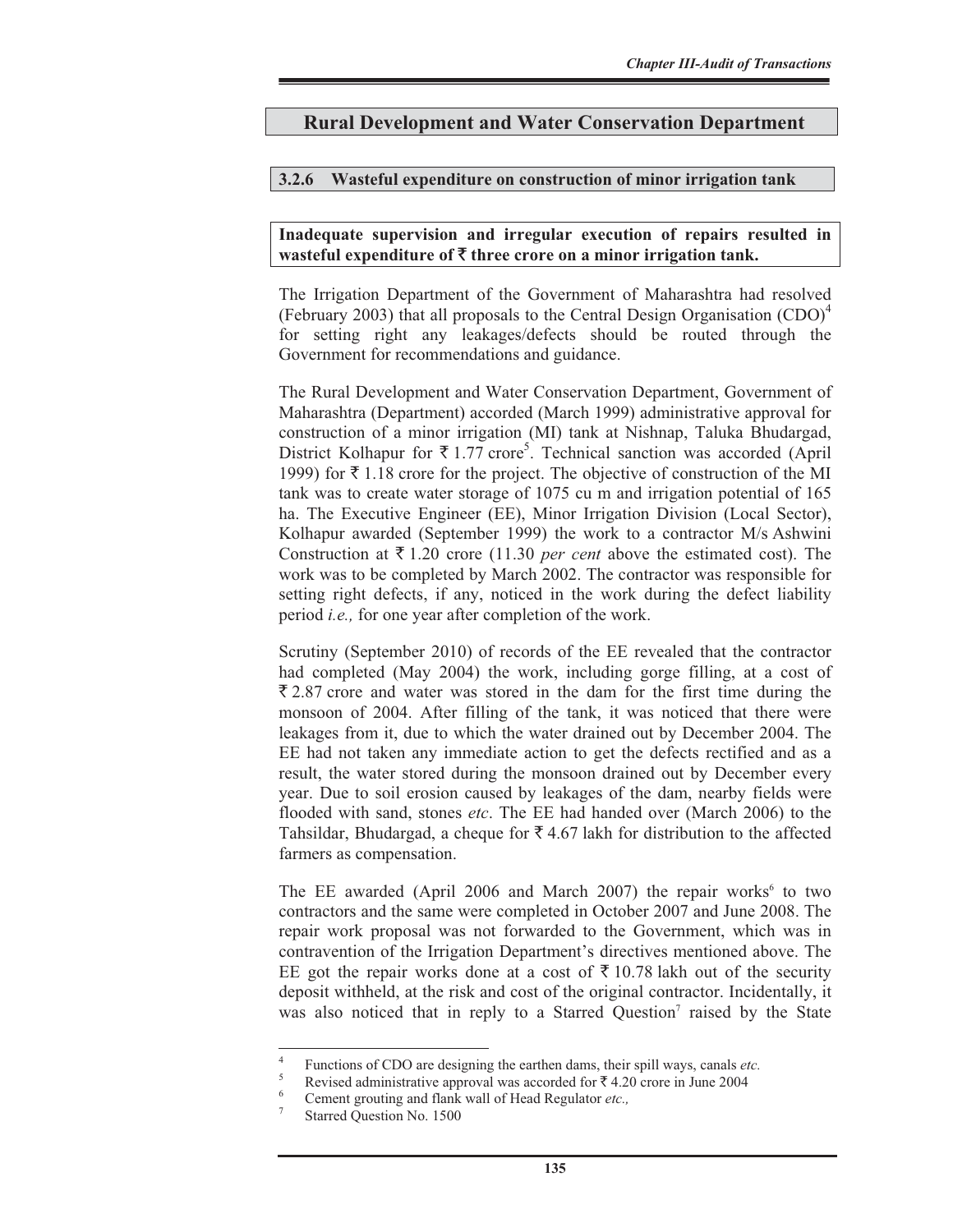## **Rural Development and Water Conservation Department**

#### **3.2.6 Wasteful expenditure on construction of minor irrigation tank**

#### **Inadequate supervision and irregular execution of repairs resulted in wasteful expenditure of** ` **three crore on a minor irrigation tank.**

The Irrigation Department of the Government of Maharashtra had resolved (February 2003) that all proposals to the Central Design Organisation  $(CDO)^4$ for setting right any leakages/defects should be routed through the Government for recommendations and guidance.

The Rural Development and Water Conservation Department, Government of Maharashtra (Department) accorded (March 1999) administrative approval for construction of a minor irrigation (MI) tank at Nishnap, Taluka Bhudargad, District Kolhapur for  $\overline{\xi}$  1.77 crore<sup>5</sup>. Technical sanction was accorded (April 1999) for  $\bar{\tau}$  1.18 crore for the project. The objective of construction of the MI tank was to create water storage of 1075 cu m and irrigation potential of 165 ha. The Executive Engineer (EE), Minor Irrigation Division (Local Sector), Kolhapur awarded (September 1999) the work to a contractor M/s Ashwini Construction at  $\bar{\xi}$  1.20 crore (11.30 *per cent* above the estimated cost). The work was to be completed by March 2002. The contractor was responsible for setting right defects, if any, noticed in the work during the defect liability period *i.e.,* for one year after completion of the work.

Scrutiny (September 2010) of records of the EE revealed that the contractor had completed (May 2004) the work, including gorge filling, at a cost of  $\overline{2}$ , 2.87 crore and water was stored in the dam for the first time during the monsoon of 2004. After filling of the tank, it was noticed that there were leakages from it, due to which the water drained out by December 2004. The EE had not taken any immediate action to get the defects rectified and as a result, the water stored during the monsoon drained out by December every year. Due to soil erosion caused by leakages of the dam, nearby fields were flooded with sand, stones *etc*. The EE had handed over (March 2006) to the Tahsildar, Bhudargad, a cheque for  $\bar{\tau}$  4.67 lakh for distribution to the affected farmers as compensation.

The EE awarded (April 2006 and March 2007) the repair works<sup>6</sup> to two contractors and the same were completed in October 2007 and June 2008. The repair work proposal was not forwarded to the Government, which was in contravention of the Irrigation Department's directives mentioned above. The EE got the repair works done at a cost of  $\bar{\tau}$  10.78 lakh out of the security deposit withheld, at the risk and cost of the original contractor. Incidentally, it was also noticed that in reply to a Starred Question<sup>7</sup> raised by the State

<sup>4</sup> Functions of CDO are designing the earthen dams, their spill ways, canals *etc.*  $\frac{5}{2}$  Project of the interior cannon long a count of  $6 \times \frac{3}{2}$  4.20 cannon long 2004.

Revised administrative approval was accorded for  $\bar{\tau}$  4.20 crore in June 2004

Cement grouting and flank wall of Head Regulator *etc.,* <sup>7</sup>

Starred Question No. 1500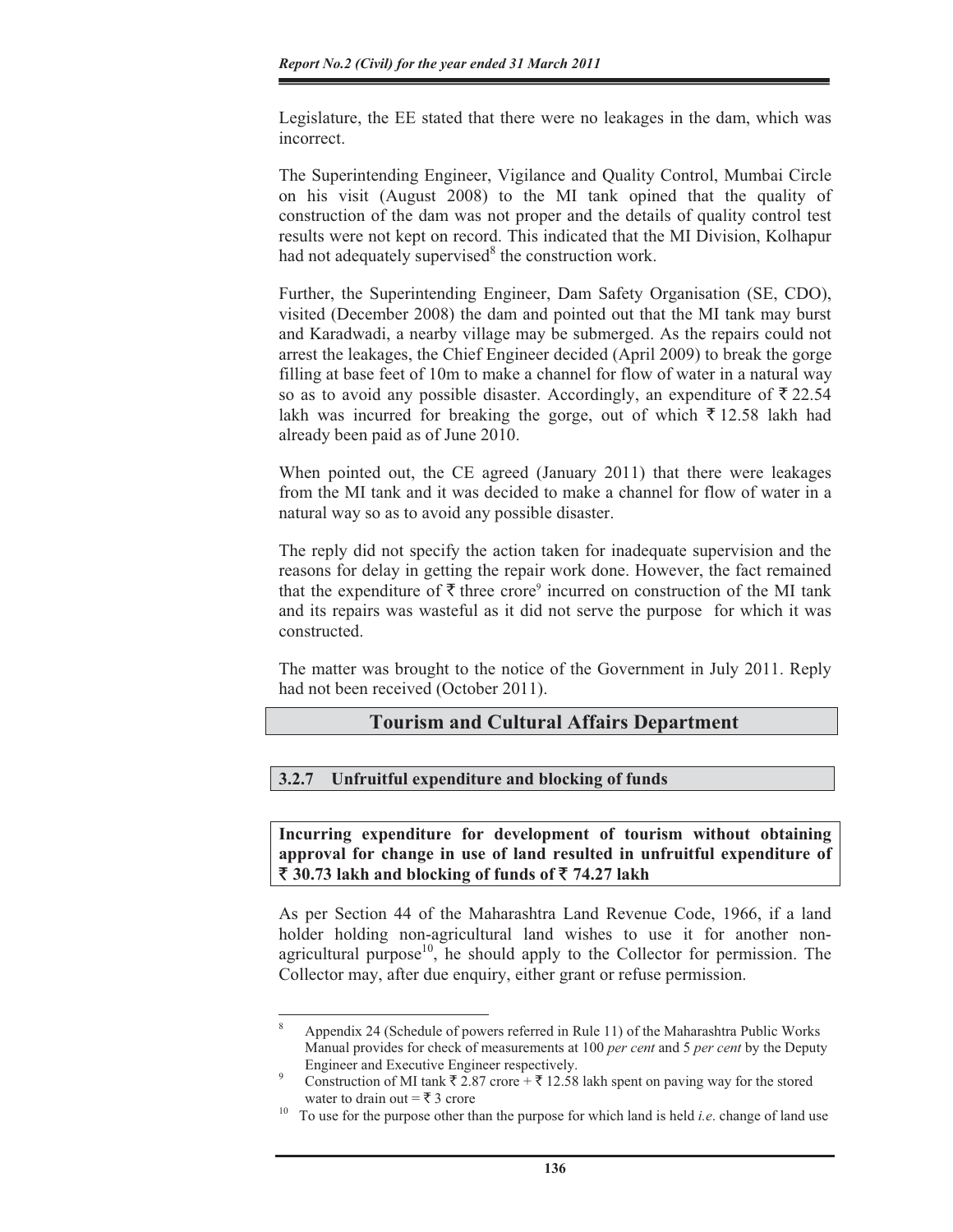Legislature, the EE stated that there were no leakages in the dam, which was incorrect.

The Superintending Engineer, Vigilance and Quality Control, Mumbai Circle on his visit (August 2008) to the MI tank opined that the quality of construction of the dam was not proper and the details of quality control test results were not kept on record. This indicated that the MI Division, Kolhapur had not adequately supervised<sup>8</sup> the construction work.

Further, the Superintending Engineer, Dam Safety Organisation (SE, CDO), visited (December 2008) the dam and pointed out that the MI tank may burst and Karadwadi, a nearby village may be submerged. As the repairs could not arrest the leakages, the Chief Engineer decided (April 2009) to break the gorge filling at base feet of 10m to make a channel for flow of water in a natural way so as to avoid any possible disaster. Accordingly, an expenditure of  $\bar{\xi}$  22.54 lakh was incurred for breaking the gorge, out of which  $\bar{\tau}$  12.58 lakh had already been paid as of June 2010.

When pointed out, the CE agreed (January 2011) that there were leakages from the MI tank and it was decided to make a channel for flow of water in a natural way so as to avoid any possible disaster.

The reply did not specify the action taken for inadequate supervision and the reasons for delay in getting the repair work done. However, the fact remained that the expenditure of  $\bar{\tau}$  three crore<sup>9</sup> incurred on construction of the MI tank and its repairs was wasteful as it did not serve the purpose for which it was constructed.

The matter was brought to the notice of the Government in July 2011. Reply had not been received (October 2011).

## **Tourism and Cultural Affairs Department**

#### **3.2.7 Unfruitful expenditure and blocking of funds**

**Incurring expenditure for development of tourism without obtaining approval for change in use of land resulted in unfruitful expenditure of**   $\bar{\mathbf{\mathsf{z}}}$  30.73 lakh and blocking of funds of  $\bar{\mathbf{\mathsf{z}}}$  74.27 lakh

As per Section 44 of the Maharashtra Land Revenue Code, 1966, if a land holder holding non-agricultural land wishes to use it for another nonagricultural purpose<sup>10</sup>, he should apply to the Collector for permission. The Collector may, after due enquiry, either grant or refuse permission.

<sup>8</sup> Appendix 24 (Schedule of powers referred in Rule 11) of the Maharashtra Public Works Manual provides for check of measurements at 100 *per cent* and 5 *per cent* by the Deputy Engineer and Executive Engineer respectively. 9

Construction of MI tank  $\bar{\tau}$  2.87 crore +  $\bar{\tau}$  12.58 lakh spent on paving way for the stored

water to drain out  $=\bar{\tau}$  3 crore<br>To use for the purpose other than the purpose for which land is held *i.e.* change of land use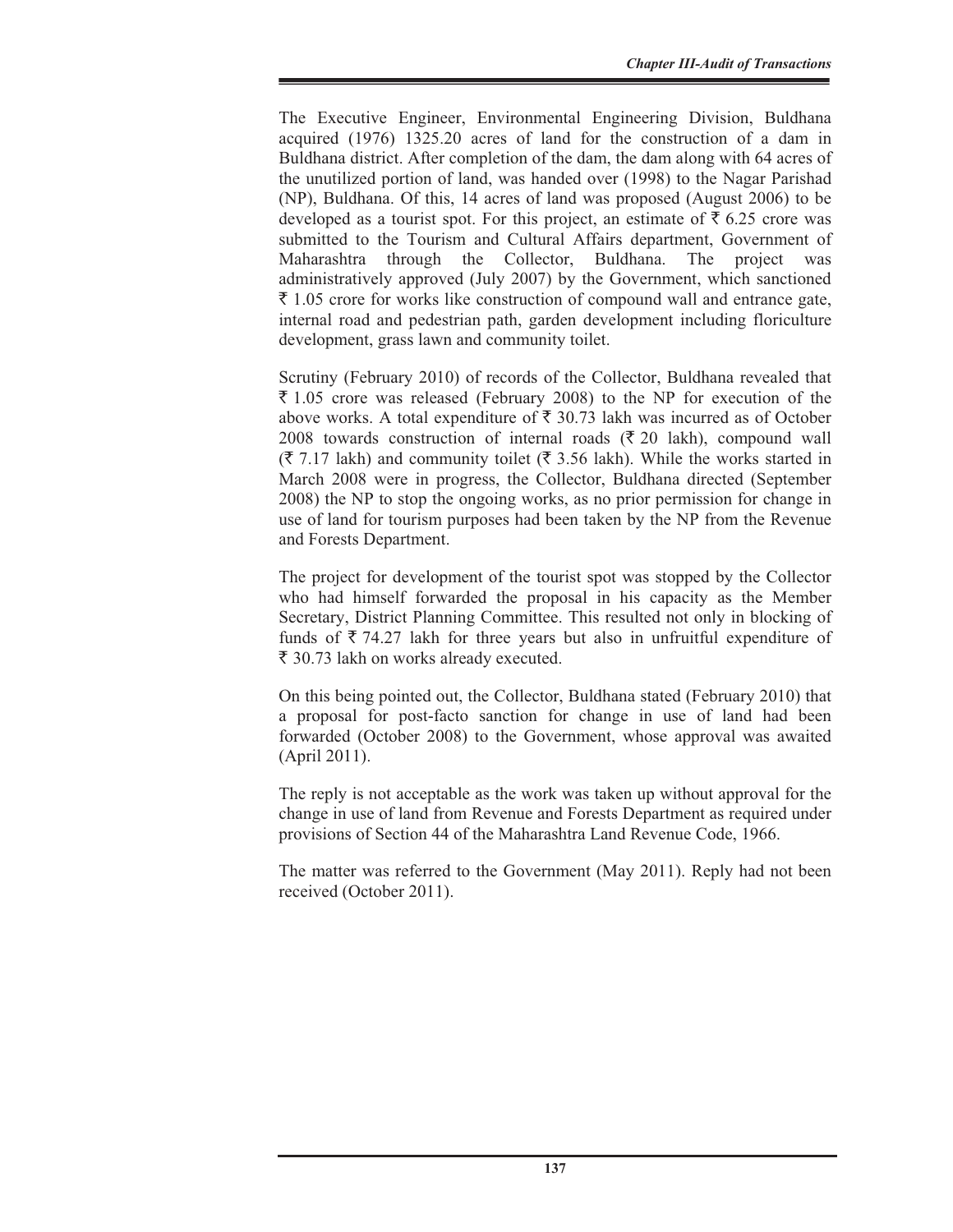The Executive Engineer, Environmental Engineering Division, Buldhana acquired (1976) 1325.20 acres of land for the construction of a dam in Buldhana district. After completion of the dam, the dam along with 64 acres of the unutilized portion of land, was handed over (1998) to the Nagar Parishad (NP), Buldhana. Of this, 14 acres of land was proposed (August 2006) to be developed as a tourist spot. For this project, an estimate of  $\bar{\tau}$  6.25 crore was submitted to the Tourism and Cultural Affairs department, Government of Maharashtra through the Collector, Buldhana. The project was administratively approved (July 2007) by the Government, which sanctioned  $\bar{\tau}$  1.05 crore for works like construction of compound wall and entrance gate, internal road and pedestrian path, garden development including floriculture development, grass lawn and community toilet.

Scrutiny (February 2010) of records of the Collector, Buldhana revealed that  $\bar{\xi}$  1.05 crore was released (February 2008) to the NP for execution of the above works. A total expenditure of  $\bar{\tau}$  30.73 lakh was incurred as of October 2008 towards construction of internal roads  $(\overline{\xi}, 20)$  lakh), compound wall  $(\bar{\mathfrak{F}} 7.17 \text{ lakh})$  and community toilet ( $\bar{\mathfrak{F}} 3.56 \text{ lakh}$ ). While the works started in March 2008 were in progress, the Collector, Buldhana directed (September 2008) the NP to stop the ongoing works, as no prior permission for change in use of land for tourism purposes had been taken by the NP from the Revenue and Forests Department.

The project for development of the tourist spot was stopped by the Collector who had himself forwarded the proposal in his capacity as the Member Secretary, District Planning Committee. This resulted not only in blocking of funds of  $\bar{\tau}$  74.27 lakh for three years but also in unfruitful expenditure of ` 30.73 lakh on works already executed.

On this being pointed out, the Collector, Buldhana stated (February 2010) that a proposal for post-facto sanction for change in use of land had been forwarded (October 2008) to the Government, whose approval was awaited (April 2011).

The reply is not acceptable as the work was taken up without approval for the change in use of land from Revenue and Forests Department as required under provisions of Section 44 of the Maharashtra Land Revenue Code, 1966.

The matter was referred to the Government (May 2011). Reply had not been received (October 2011).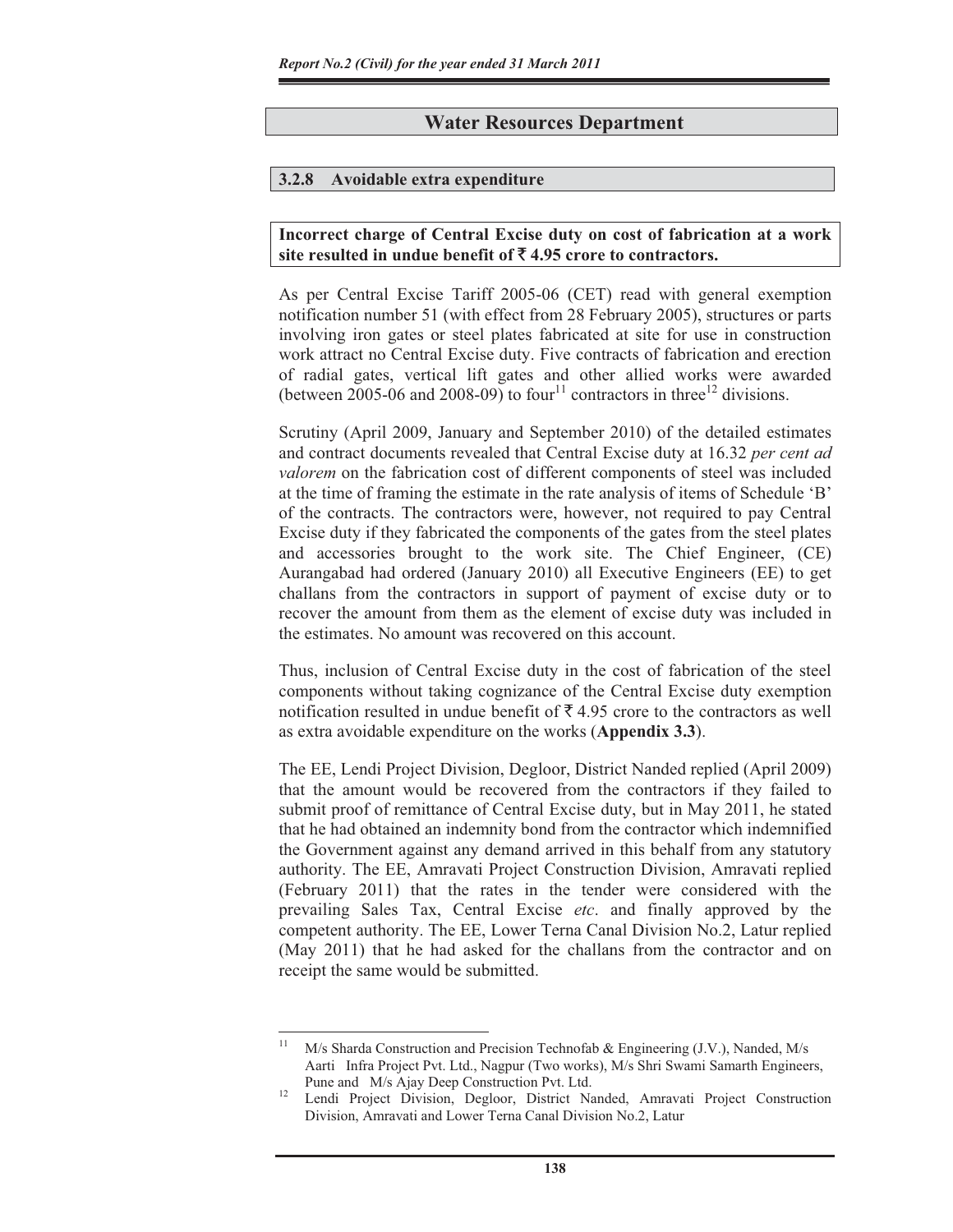## **Water Resources Department**

#### **3.2.8 Avoidable extra expenditure**

#### **Incorrect charge of Central Excise duty on cost of fabrication at a work**  site resulted in undue benefit of  $\bar{\mathbf{z}}$  4.95 crore to contractors.

As per Central Excise Tariff 2005-06 (CET) read with general exemption notification number 51 (with effect from 28 February 2005), structures or parts involving iron gates or steel plates fabricated at site for use in construction work attract no Central Excise duty. Five contracts of fabrication and erection of radial gates, vertical lift gates and other allied works were awarded (between 2005-06 and 2008-09) to four<sup>11</sup> contractors in three<sup>12</sup> divisions.

Scrutiny (April 2009, January and September 2010) of the detailed estimates and contract documents revealed that Central Excise duty at 16.32 *per cent ad valorem* on the fabrication cost of different components of steel was included at the time of framing the estimate in the rate analysis of items of Schedule 'B' of the contracts. The contractors were, however, not required to pay Central Excise duty if they fabricated the components of the gates from the steel plates and accessories brought to the work site. The Chief Engineer, (CE) Aurangabad had ordered (January 2010) all Executive Engineers (EE) to get challans from the contractors in support of payment of excise duty or to recover the amount from them as the element of excise duty was included in the estimates. No amount was recovered on this account.

Thus, inclusion of Central Excise duty in the cost of fabrication of the steel components without taking cognizance of the Central Excise duty exemption notification resulted in undue benefit of  $\bar{\tau}$  4.95 crore to the contractors as well as extra avoidable expenditure on the works (**Appendix 3.3**).

The EE, Lendi Project Division, Degloor, District Nanded replied (April 2009) that the amount would be recovered from the contractors if they failed to submit proof of remittance of Central Excise duty, but in May 2011, he stated that he had obtained an indemnity bond from the contractor which indemnified the Government against any demand arrived in this behalf from any statutory authority. The EE, Amravati Project Construction Division, Amravati replied (February 2011) that the rates in the tender were considered with the prevailing Sales Tax, Central Excise *etc*. and finally approved by the competent authority. The EE, Lower Terna Canal Division No.2, Latur replied (May 2011) that he had asked for the challans from the contractor and on receipt the same would be submitted.

M/s Sharda Construction and Precision Technofab & Engineering (J.V.), Nanded, M/s Aarti Infra Project Pvt. Ltd., Nagpur (Two works), M/s Shri Swami Samarth Engineers,

Pune and M/s Ajay Deep Construction Pvt. Ltd.<br><sup>12</sup> Lendi Project Division, Degloor, District Nanded, Amravati Project Construction Division, Amravati and Lower Terna Canal Division No.2, Latur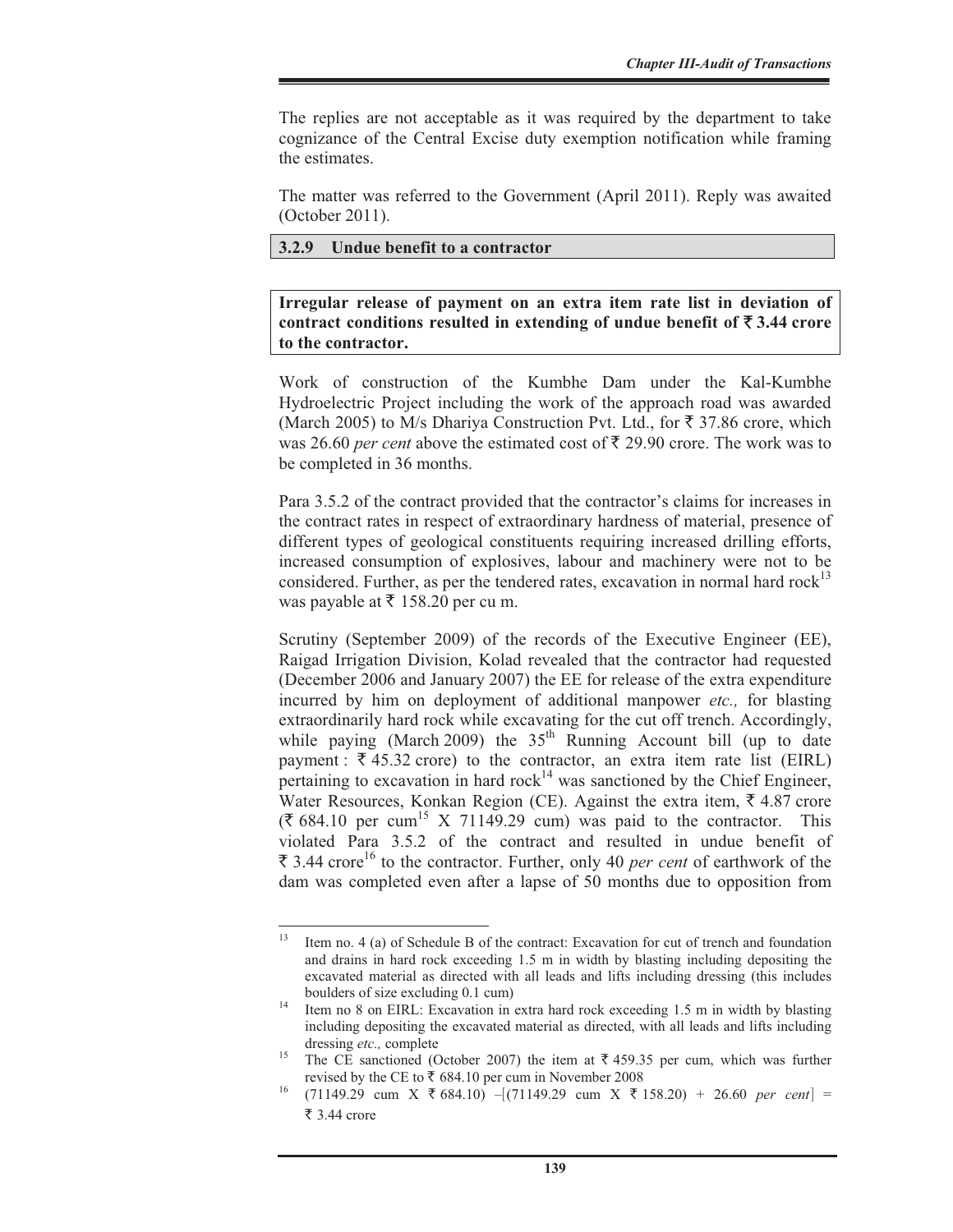The replies are not acceptable as it was required by the department to take cognizance of the Central Excise duty exemption notification while framing the estimates.

The matter was referred to the Government (April 2011). Reply was awaited (October 2011).

#### **3.2.9 Undue benefit to a contractor**

**Irregular release of payment on an extra item rate list in deviation of**  contract conditions resulted in extending of undue benefit of  $\bar{\tau}$  3.44 crore **to the contractor.** 

Work of construction of the Kumbhe Dam under the Kal-Kumbhe Hydroelectric Project including the work of the approach road was awarded (March 2005) to M/s Dhariya Construction Pvt. Ltd., for  $\bar{\tau}$  37.86 crore, which was 26.60 *per cent* above the estimated cost of  $\bar{\xi}$  29.90 crore. The work was to be completed in 36 months.

Para 3.5.2 of the contract provided that the contractor's claims for increases in the contract rates in respect of extraordinary hardness of material, presence of different types of geological constituents requiring increased drilling efforts, increased consumption of explosives, labour and machinery were not to be considered. Further, as per the tendered rates, excavation in normal hard  $rock^{13}$ was payable at  $\bar{\tau}$  158.20 per cu m.

Scrutiny (September 2009) of the records of the Executive Engineer (EE), Raigad Irrigation Division, Kolad revealed that the contractor had requested (December 2006 and January 2007) the EE for release of the extra expenditure incurred by him on deployment of additional manpower *etc.,* for blasting extraordinarily hard rock while excavating for the cut off trench. Accordingly, while paying (March 2009) the  $35<sup>th</sup>$  Running Account bill (up to date payment :  $\overline{\xi}$  45.32 crore) to the contractor, an extra item rate list (EIRL) pertaining to excavation in hard  $rock^{14}$  was sanctioned by the Chief Engineer, Water Resources, Konkan Region (CE). Against the extra item,  $\bar{\tau}$  4.87 crore  $(\overline{\xi})$  684.10 per cum<sup>15</sup> X 71149.29 cum) was paid to the contractor. This violated Para 3.5.2 of the contract and resulted in undue benefit of  $\bar{\xi}$  3.44 crore<sup>16</sup> to the contractor. Further, only 40 *per cent* of earthwork of the dam was completed even after a lapse of 50 months due to opposition from

<sup>&</sup>lt;sup>13</sup> Item no. 4 (a) of Schedule B of the contract: Excavation for cut of trench and foundation and drains in hard rock exceeding 1.5 m in width by blasting including depositing the excavated material as directed with all leads and lifts including dressing (this includes

boulders of size excluding 0.1 cum)<br><sup>14</sup> Item no 8 on EIRL: Excavation in extra hard rock exceeding 1.5 m in width by blasting including depositing the excavated material as directed, with all leads and lifts including dressing *etc.*, complete 15 The CE sanctioned (October 2007) the item at ₹ 459.35 per cum, which was further

revised by the CE to ₹ 684.10 per cum in November 2008<br><sup>16</sup> (71149.29 cum X ₹ 684.10) –[(71149.29 cum X ₹ 158.20) + 26.60 *per cent*] =

 $\overline{\xi}$  3.44 crore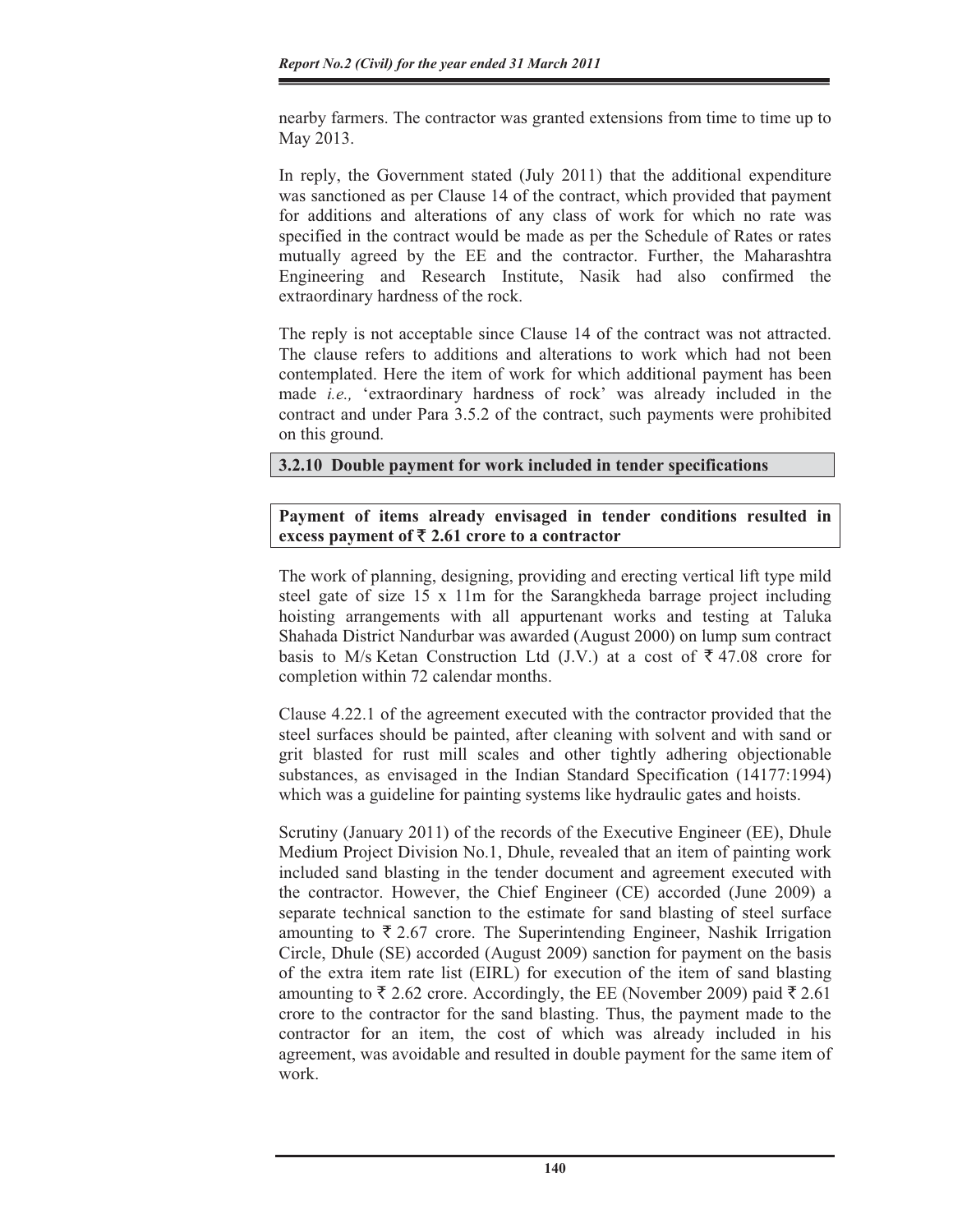nearby farmers. The contractor was granted extensions from time to time up to May 2013.

In reply, the Government stated (July 2011) that the additional expenditure was sanctioned as per Clause 14 of the contract, which provided that payment for additions and alterations of any class of work for which no rate was specified in the contract would be made as per the Schedule of Rates or rates mutually agreed by the EE and the contractor. Further, the Maharashtra Engineering and Research Institute, Nasik had also confirmed the extraordinary hardness of the rock.

The reply is not acceptable since Clause 14 of the contract was not attracted. The clause refers to additions and alterations to work which had not been contemplated. Here the item of work for which additional payment has been made *i.e.,* 'extraordinary hardness of rock' was already included in the contract and under Para 3.5.2 of the contract, such payments were prohibited on this ground.

## **3.2.10 Double payment for work included in tender specifications**

## **Payment of items already envisaged in tender conditions resulted in excess payment of** ` **2.61 crore to a contractor**

The work of planning, designing, providing and erecting vertical lift type mild steel gate of size 15 x 11m for the Sarangkheda barrage project including hoisting arrangements with all appurtenant works and testing at Taluka Shahada District Nandurbar was awarded (August 2000) on lump sum contract basis to M/s Ketan Construction Ltd (J.V.) at a cost of  $\bar{\xi}$  47.08 crore for completion within 72 calendar months.

Clause 4.22.1 of the agreement executed with the contractor provided that the steel surfaces should be painted, after cleaning with solvent and with sand or grit blasted for rust mill scales and other tightly adhering objectionable substances, as envisaged in the Indian Standard Specification (14177:1994) which was a guideline for painting systems like hydraulic gates and hoists.

Scrutiny (January 2011) of the records of the Executive Engineer (EE), Dhule Medium Project Division No.1, Dhule, revealed that an item of painting work included sand blasting in the tender document and agreement executed with the contractor. However, the Chief Engineer (CE) accorded (June 2009) a separate technical sanction to the estimate for sand blasting of steel surface amounting to  $\bar{\xi}$  2.67 crore. The Superintending Engineer, Nashik Irrigation Circle, Dhule (SE) accorded (August 2009) sanction for payment on the basis of the extra item rate list (EIRL) for execution of the item of sand blasting amounting to  $\bar{\xi}$  2.62 crore. Accordingly, the EE (November 2009) paid  $\bar{\xi}$  2.61 crore to the contractor for the sand blasting. Thus, the payment made to the contractor for an item, the cost of which was already included in his agreement, was avoidable and resulted in double payment for the same item of work.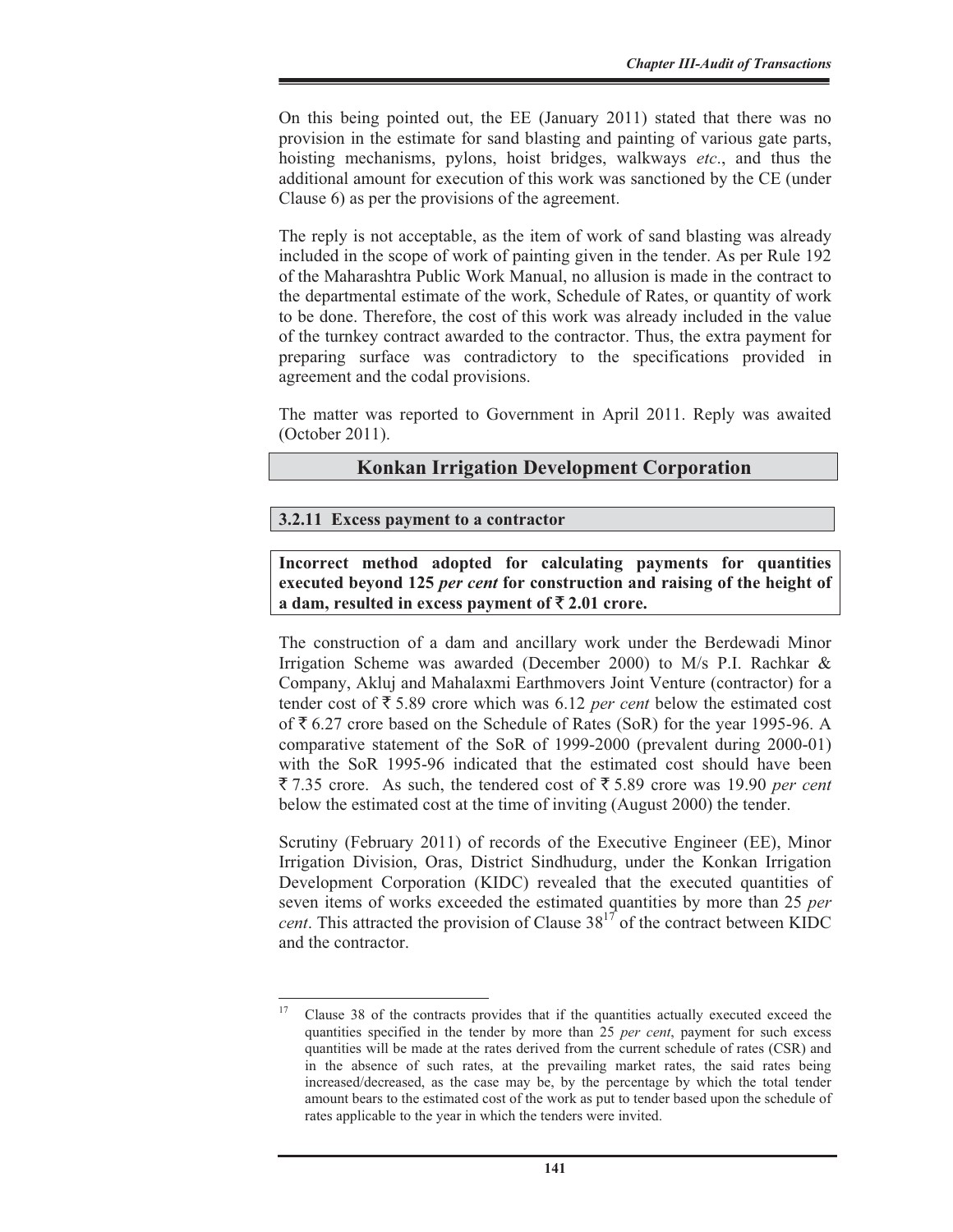On this being pointed out, the EE (January 2011) stated that there was no provision in the estimate for sand blasting and painting of various gate parts, hoisting mechanisms, pylons, hoist bridges, walkways *etc*., and thus the additional amount for execution of this work was sanctioned by the CE (under Clause 6) as per the provisions of the agreement.

The reply is not acceptable, as the item of work of sand blasting was already included in the scope of work of painting given in the tender. As per Rule 192 of the Maharashtra Public Work Manual, no allusion is made in the contract to the departmental estimate of the work, Schedule of Rates, or quantity of work to be done. Therefore, the cost of this work was already included in the value of the turnkey contract awarded to the contractor. Thus, the extra payment for preparing surface was contradictory to the specifications provided in agreement and the codal provisions.

The matter was reported to Government in April 2011. Reply was awaited (October 2011).

## **Konkan Irrigation Development Corporation**

#### **3.2.11 Excess payment to a contractor**

**Incorrect method adopted for calculating payments for quantities executed beyond 125** *per cent* **for construction and raising of the height of a dam, resulted in excess payment of**  $\bar{\mathbf{\xi}}$  **2.01 crore.** 

The construction of a dam and ancillary work under the Berdewadi Minor Irrigation Scheme was awarded (December 2000) to M/s P.I. Rachkar & Company, Akluj and Mahalaxmi Earthmovers Joint Venture (contractor) for a tender cost of  $\bar{\tau}$  5.89 crore which was 6.12 *per cent* below the estimated cost of  $\bar{\xi}$  6.27 crore based on the Schedule of Rates (SoR) for the year 1995-96. A comparative statement of the SoR of 1999-2000 (prevalent during 2000-01) with the SoR 1995-96 indicated that the estimated cost should have been  $\bar{\xi}$  7.35 crore. As such, the tendered cost of  $\bar{\xi}$  5.89 crore was 19.90 *per cent* below the estimated cost at the time of inviting (August 2000) the tender.

Scrutiny (February 2011) of records of the Executive Engineer (EE), Minor Irrigation Division, Oras, District Sindhudurg, under the Konkan Irrigation Development Corporation (KIDC) revealed that the executed quantities of seven items of works exceeded the estimated quantities by more than 25 *per cent*. This attracted the provision of Clause  $38^{17}$  of the contract between KIDC and the contractor.

<sup>17</sup> Clause 38 of the contracts provides that if the quantities actually executed exceed the quantities specified in the tender by more than 25 *per cent*, payment for such excess quantities will be made at the rates derived from the current schedule of rates (CSR) and in the absence of such rates, at the prevailing market rates, the said rates being increased/decreased, as the case may be, by the percentage by which the total tender amount bears to the estimated cost of the work as put to tender based upon the schedule of rates applicable to the year in which the tenders were invited.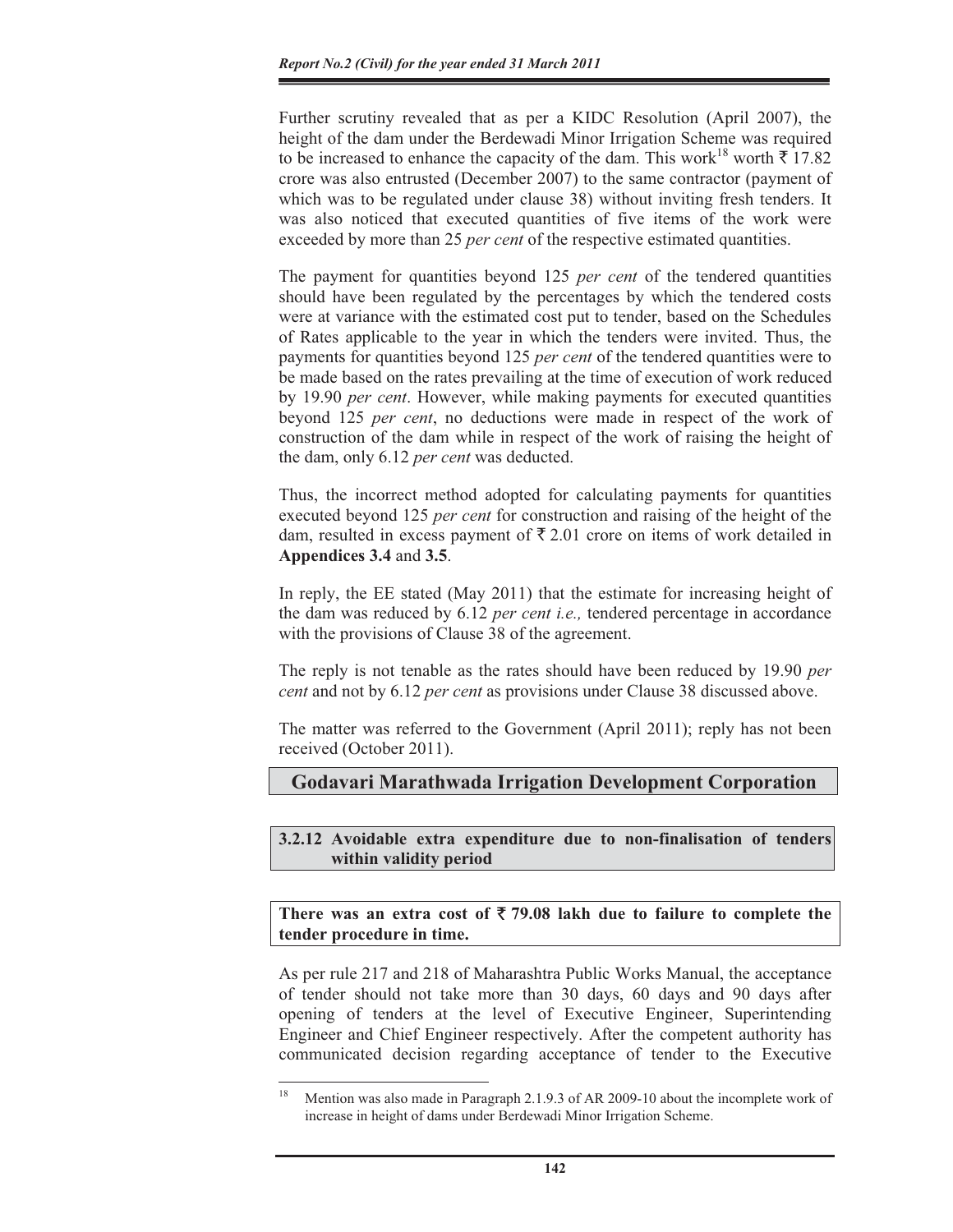Further scrutiny revealed that as per a KIDC Resolution (April 2007), the height of the dam under the Berdewadi Minor Irrigation Scheme was required to be increased to enhance the capacity of the dam. This work<sup>18</sup> worth  $\bar{\tau}$  17.82 crore was also entrusted (December 2007) to the same contractor (payment of which was to be regulated under clause 38) without inviting fresh tenders. It was also noticed that executed quantities of five items of the work were exceeded by more than 25 *per cent* of the respective estimated quantities.

The payment for quantities beyond 125 *per cent* of the tendered quantities should have been regulated by the percentages by which the tendered costs were at variance with the estimated cost put to tender, based on the Schedules of Rates applicable to the year in which the tenders were invited. Thus, the payments for quantities beyond 125 *per cent* of the tendered quantities were to be made based on the rates prevailing at the time of execution of work reduced by 19.90 *per cent*. However, while making payments for executed quantities beyond 125 *per cent*, no deductions were made in respect of the work of construction of the dam while in respect of the work of raising the height of the dam, only 6.12 *per cent* was deducted.

Thus, the incorrect method adopted for calculating payments for quantities executed beyond 125 *per cent* for construction and raising of the height of the dam, resulted in excess payment of  $\bar{\tau}$  2.01 crore on items of work detailed in **Appendices 3.4** and **3.5**.

In reply, the EE stated (May 2011) that the estimate for increasing height of the dam was reduced by 6.12 *per cent i.e.,* tendered percentage in accordance with the provisions of Clause 38 of the agreement.

The reply is not tenable as the rates should have been reduced by 19.90 *per cent* and not by 6.12 *per cent* as provisions under Clause 38 discussed above.

The matter was referred to the Government (April 2011); reply has not been received (October 2011).

## **Godavari Marathwada Irrigation Development Corporation**

**3.2.12 Avoidable extra expenditure due to non-finalisation of tenders within validity period** 

There was an extra cost of  $\bar{\tau}$  79.08 lakh due to failure to complete the **tender procedure in time.** 

As per rule 217 and 218 of Maharashtra Public Works Manual, the acceptance of tender should not take more than 30 days, 60 days and 90 days after opening of tenders at the level of Executive Engineer, Superintending Engineer and Chief Engineer respectively. After the competent authority has communicated decision regarding acceptance of tender to the Executive

<sup>&</sup>lt;sup>18</sup> Mention was also made in Paragraph 2.1.9.3 of AR 2009-10 about the incomplete work of increase in height of dams under Berdewadi Minor Irrigation Scheme.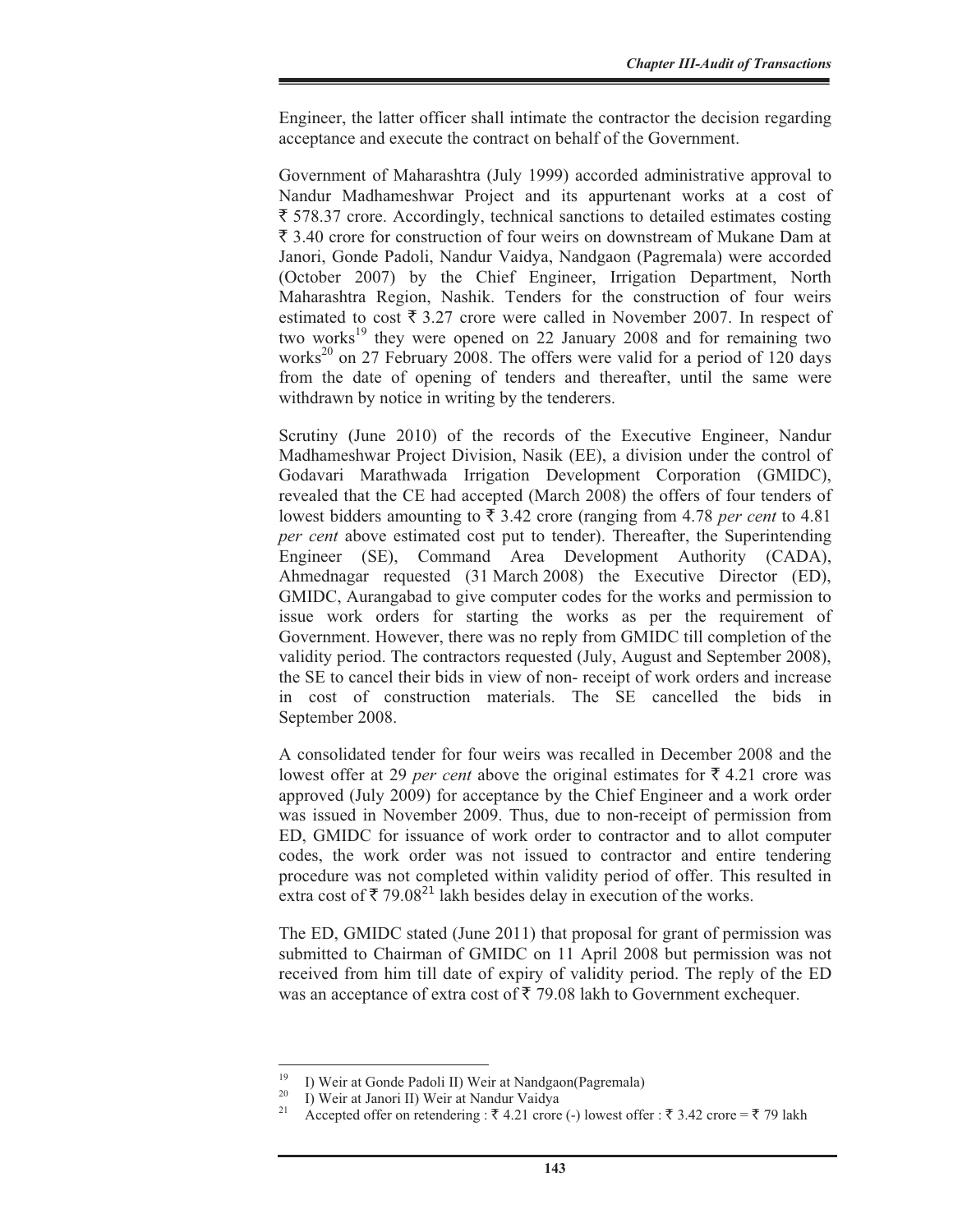Engineer, the latter officer shall intimate the contractor the decision regarding acceptance and execute the contract on behalf of the Government.

Government of Maharashtra (July 1999) accorded administrative approval to Nandur Madhameshwar Project and its appurtenant works at a cost of  $\bar{\xi}$  578.37 crore. Accordingly, technical sanctions to detailed estimates costing  $\bar{\xi}$  3.40 crore for construction of four weirs on downstream of Mukane Dam at Janori, Gonde Padoli, Nandur Vaidya, Nandgaon (Pagremala) were accorded (October 2007) by the Chief Engineer, Irrigation Department, North Maharashtra Region, Nashik. Tenders for the construction of four weirs estimated to cost  $\bar{\tau}$  3.27 crore were called in November 2007. In respect of two works<sup>19</sup> they were opened on 22 January 2008 and for remaining two works<sup>20</sup> on 27 February 2008. The offers were valid for a period of 120 days from the date of opening of tenders and thereafter, until the same were withdrawn by notice in writing by the tenderers.

Scrutiny (June 2010) of the records of the Executive Engineer, Nandur Madhameshwar Project Division, Nasik (EE), a division under the control of Godavari Marathwada Irrigation Development Corporation (GMIDC), revealed that the CE had accepted (March 2008) the offers of four tenders of lowest bidders amounting to  $\bar{\tau}$  3.42 crore (ranging from 4.78 *per cent* to 4.81 *per cent* above estimated cost put to tender). Thereafter, the Superintending Engineer (SE), Command Area Development Authority (CADA), Ahmednagar requested (31 March 2008) the Executive Director (ED), GMIDC, Aurangabad to give computer codes for the works and permission to issue work orders for starting the works as per the requirement of Government. However, there was no reply from GMIDC till completion of the validity period. The contractors requested (July, August and September 2008), the SE to cancel their bids in view of non- receipt of work orders and increase in cost of construction materials. The SE cancelled the bids in September 2008.

A consolidated tender for four weirs was recalled in December 2008 and the lowest offer at 29 *per cent* above the original estimates for  $\bar{\tau}$  4.21 crore was approved (July 2009) for acceptance by the Chief Engineer and a work order was issued in November 2009. Thus, due to non-receipt of permission from ED, GMIDC for issuance of work order to contractor and to allot computer codes, the work order was not issued to contractor and entire tendering procedure was not completed within validity period of offer. This resulted in extra cost of  $\bar{\tau}$  79.08<sup>21</sup> lakh besides delay in execution of the works.

The ED, GMIDC stated (June 2011) that proposal for grant of permission was submitted to Chairman of GMIDC on 11 April 2008 but permission was not received from him till date of expiry of validity period. The reply of the ED was an acceptance of extra cost of  $\bar{\tau}$  79.08 lakh to Government exchequer.

<sup>&</sup>lt;sup>19</sup> I) Weir at Gonde Padoli II) Weir at Nandgaon(Pagremala)

<sup>&</sup>lt;sup>20</sup> I) Weir at Janori II) Weir at Nandur Vaidya

Accepted offer on retendering :  $\bar{\tau}$  4.21 crore (-) lowest offer :  $\bar{\tau}$  3.42 crore =  $\bar{\tau}$  79 lakh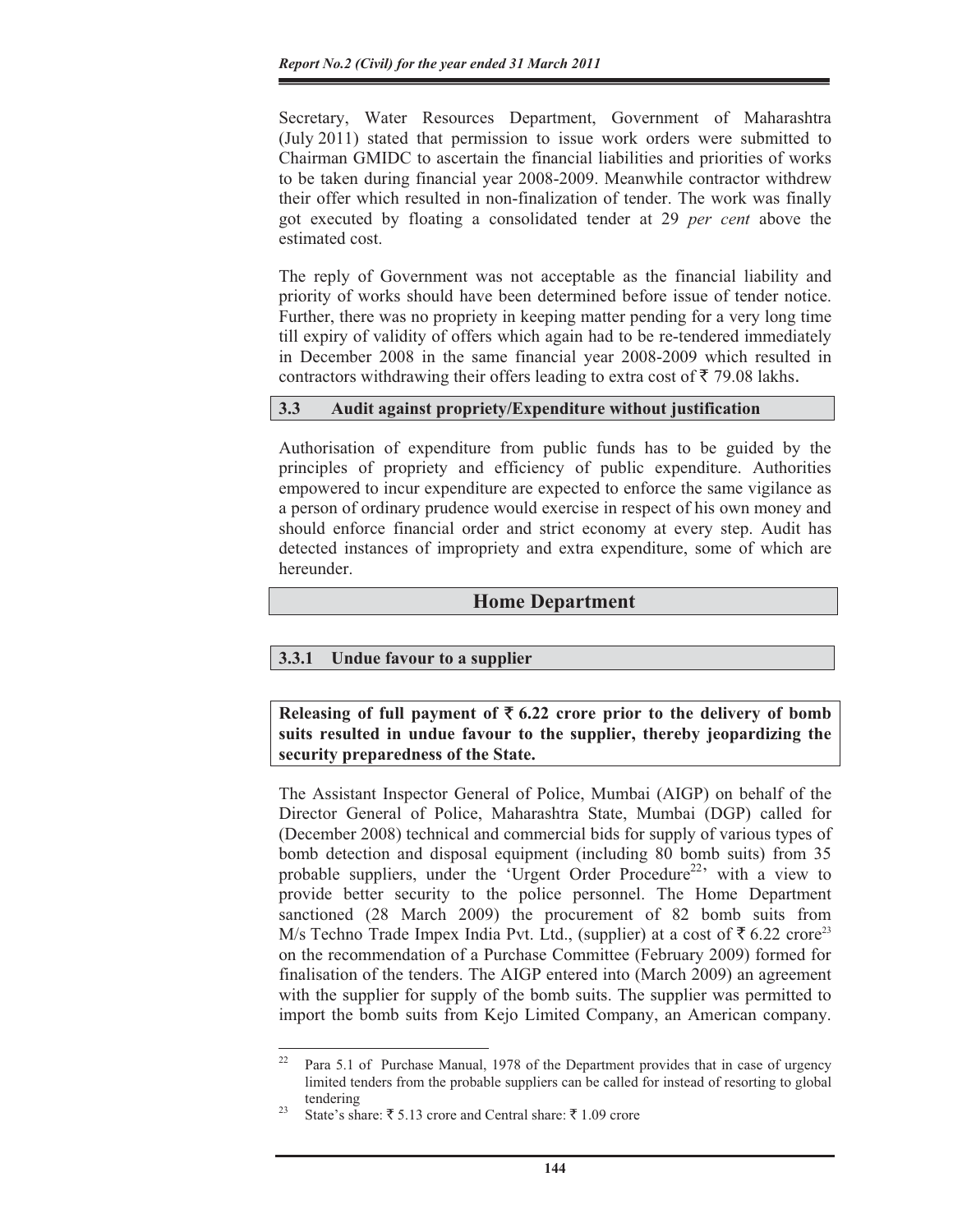Secretary, Water Resources Department, Government of Maharashtra (July 2011) stated that permission to issue work orders were submitted to Chairman GMIDC to ascertain the financial liabilities and priorities of works to be taken during financial year 2008-2009. Meanwhile contractor withdrew their offer which resulted in non-finalization of tender. The work was finally got executed by floating a consolidated tender at 29 *per cent* above the estimated cost.

The reply of Government was not acceptable as the financial liability and priority of works should have been determined before issue of tender notice. Further, there was no propriety in keeping matter pending for a very long time till expiry of validity of offers which again had to be re-tendered immediately in December 2008 in the same financial year 2008-2009 which resulted in contractors withdrawing their offers leading to extra cost of  $\bar{\tau}$  79.08 lakhs.

#### **3.3 Audit against propriety/Expenditure without justification**

Authorisation of expenditure from public funds has to be guided by the principles of propriety and efficiency of public expenditure. Authorities empowered to incur expenditure are expected to enforce the same vigilance as a person of ordinary prudence would exercise in respect of his own money and should enforce financial order and strict economy at every step. Audit has detected instances of impropriety and extra expenditure, some of which are hereunder.

## **Home Department**

#### **3.3.1 Undue favour to a supplier**

**Releasing of full payment of**  $\bar{\mathbf{\xi}}$  **6.22 crore prior to the delivery of bomb suits resulted in undue favour to the supplier, thereby jeopardizing the security preparedness of the State.** 

The Assistant Inspector General of Police, Mumbai (AIGP) on behalf of the Director General of Police, Maharashtra State, Mumbai (DGP) called for (December 2008) technical and commercial bids for supply of various types of bomb detection and disposal equipment (including 80 bomb suits) from 35 probable suppliers, under the 'Urgent Order Procedure<sup>22</sup>' with a view to provide better security to the police personnel. The Home Department sanctioned (28 March 2009) the procurement of 82 bomb suits from M/s Techno Trade Impex India Pvt. Ltd., (supplier) at a cost of  $\bar{z}$  6.22 crore<sup>23</sup> on the recommendation of a Purchase Committee (February 2009) formed for finalisation of the tenders. The AIGP entered into (March 2009) an agreement with the supplier for supply of the bomb suits. The supplier was permitted to import the bomb suits from Kejo Limited Company, an American company.

<sup>&</sup>lt;sup>22</sup> Para 5.1 of Purchase Manual, 1978 of the Department provides that in case of urgency limited tenders from the probable suppliers can be called for instead of resorting to global

tendering<br><sup>23</sup> State's share: ₹ 5.13 crore and Central share: ₹ 1.09 crore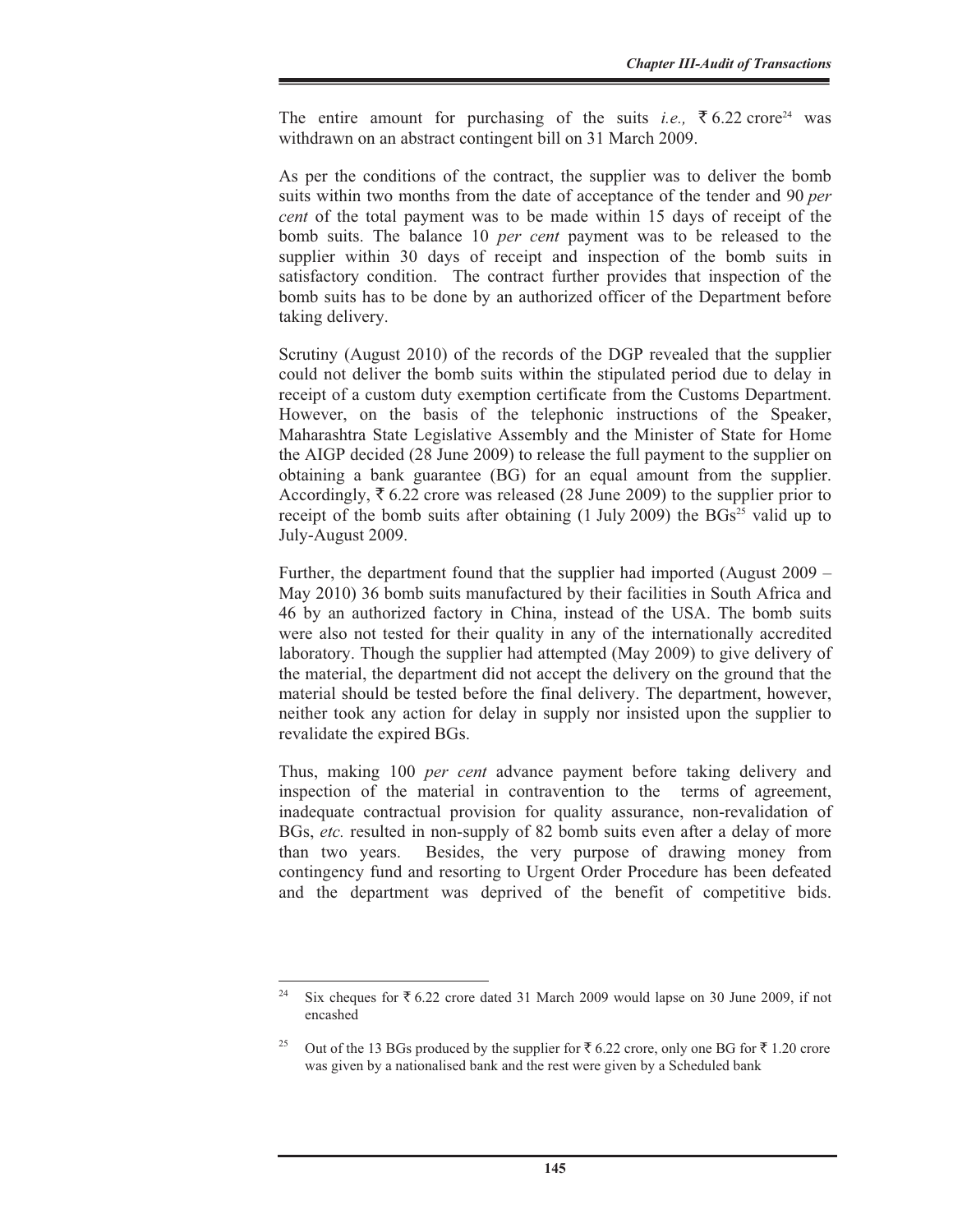The entire amount for purchasing of the suits *i.e.*,  $\overline{6}$  6.22 crore<sup>24</sup> was withdrawn on an abstract contingent bill on 31 March 2009.

As per the conditions of the contract, the supplier was to deliver the bomb suits within two months from the date of acceptance of the tender and 90 *per cent* of the total payment was to be made within 15 days of receipt of the bomb suits. The balance 10 *per cent* payment was to be released to the supplier within 30 days of receipt and inspection of the bomb suits in satisfactory condition. The contract further provides that inspection of the bomb suits has to be done by an authorized officer of the Department before taking delivery.

Scrutiny (August 2010) of the records of the DGP revealed that the supplier could not deliver the bomb suits within the stipulated period due to delay in receipt of a custom duty exemption certificate from the Customs Department. However, on the basis of the telephonic instructions of the Speaker, Maharashtra State Legislative Assembly and the Minister of State for Home the AIGP decided (28 June 2009) to release the full payment to the supplier on obtaining a bank guarantee (BG) for an equal amount from the supplier. Accordingly,  $\bar{\xi}$  6.22 crore was released (28 June 2009) to the supplier prior to receipt of the bomb suits after obtaining  $(1 \text{ July } 2009)$  the BGs<sup>25</sup> valid up to July-August 2009.

Further, the department found that the supplier had imported (August 2009 – May 2010) 36 bomb suits manufactured by their facilities in South Africa and 46 by an authorized factory in China, instead of the USA. The bomb suits were also not tested for their quality in any of the internationally accredited laboratory. Though the supplier had attempted (May 2009) to give delivery of the material, the department did not accept the delivery on the ground that the material should be tested before the final delivery. The department, however, neither took any action for delay in supply nor insisted upon the supplier to revalidate the expired BGs.

Thus, making 100 *per cent* advance payment before taking delivery and inspection of the material in contravention to the terms of agreement, inadequate contractual provision for quality assurance, non-revalidation of BGs, *etc.* resulted in non-supply of 82 bomb suits even after a delay of more than two years. Besides, the very purpose of drawing money from contingency fund and resorting to Urgent Order Procedure has been defeated and the department was deprived of the benefit of competitive bids.

<sup>&</sup>lt;sup>24</sup> Six cheques for  $\overline{5}$  6.22 crore dated 31 March 2009 would lapse on 30 June 2009, if not encashed

Out of the 13 BGs produced by the supplier for  $\bar{\tau}$  6.22 crore, only one BG for  $\bar{\tau}$  1.20 crore was given by a nationalised bank and the rest were given by a Scheduled bank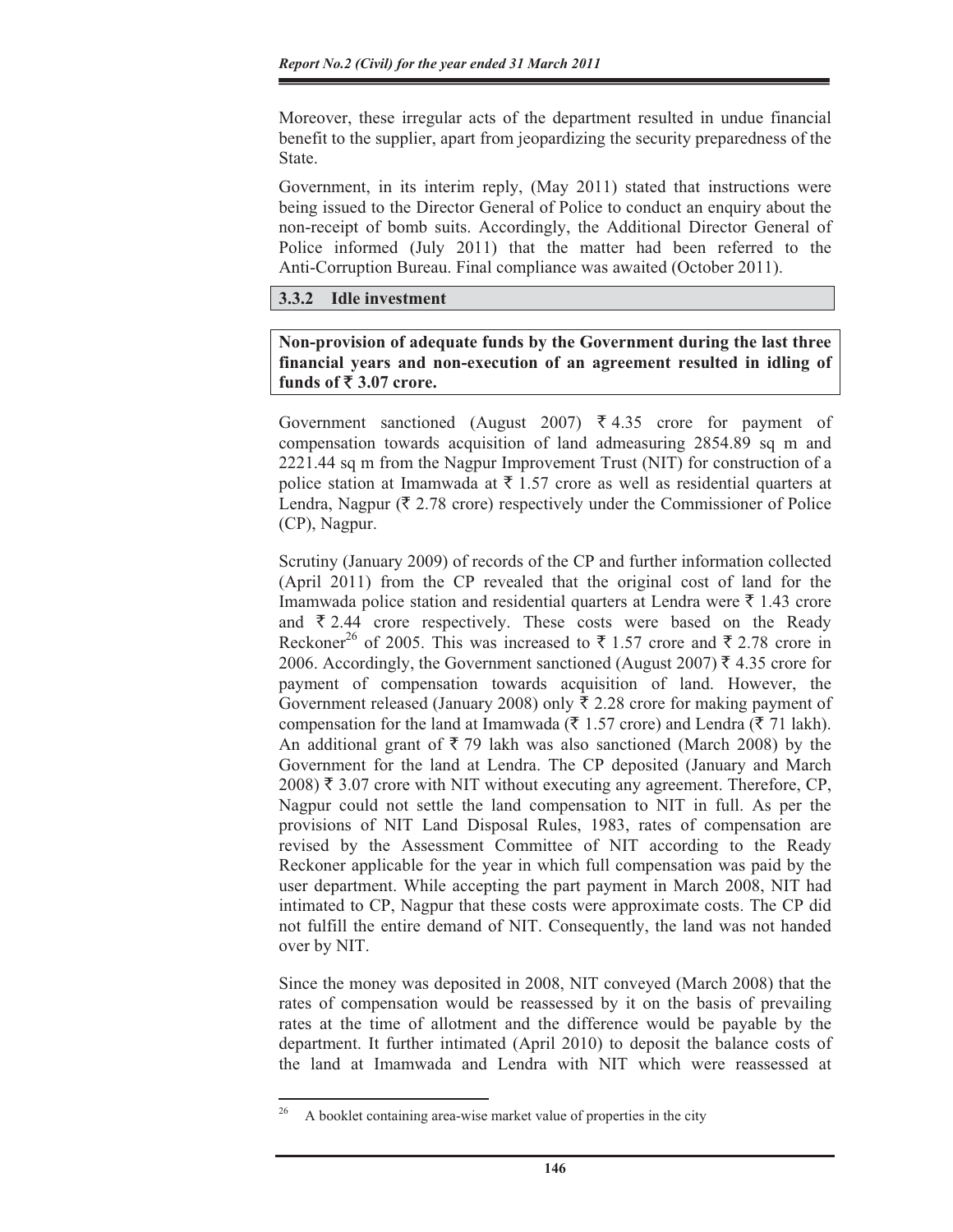Moreover, these irregular acts of the department resulted in undue financial benefit to the supplier, apart from jeopardizing the security preparedness of the State.

Government, in its interim reply, (May 2011) stated that instructions were being issued to the Director General of Police to conduct an enquiry about the non-receipt of bomb suits. Accordingly, the Additional Director General of Police informed (July 2011) that the matter had been referred to the Anti-Corruption Bureau. Final compliance was awaited (October 2011).

## **3.3.2 Idle investment**

**Non-provision of adequate funds by the Government during the last three financial years and non-execution of an agreement resulted in idling of**  funds of  $\bar{\mathbf{\tau}}$  3.07 crore.

Government sanctioned (August 2007)  $\overline{\xi}$  4.35 crore for payment of compensation towards acquisition of land admeasuring 2854.89 sq m and 2221.44 sq m from the Nagpur Improvement Trust (NIT) for construction of a police station at Imamwada at  $\bar{\tau}$  1.57 crore as well as residential quarters at Lendra, Nagpur ( $\bar{\tau}$  2.78 crore) respectively under the Commissioner of Police (CP), Nagpur.

Scrutiny (January 2009) of records of the CP and further information collected (April 2011) from the CP revealed that the original cost of land for the Imamwada police station and residential quarters at Lendra were  $\bar{\tau}$  1.43 crore and  $\bar{\tau}$  2.44 crore respectively. These costs were based on the Ready Reckoner<sup>26</sup> of 2005. This was increased to  $\bar{\tau}$  1.57 crore and  $\bar{\tau}$  2.78 crore in 2006. Accordingly, the Government sanctioned (August 2007)  $\bar{\tau}$  4.35 crore for payment of compensation towards acquisition of land. However, the Government released (January 2008) only  $\bar{\tau}$  2.28 crore for making payment of compensation for the land at Imamwada ( $\bar{\tau}$  1.57 crore) and Lendra ( $\bar{\tau}$  71 lakh). An additional grant of  $\overline{\xi}$  79 lakh was also sanctioned (March 2008) by the Government for the land at Lendra. The CP deposited (January and March 2008) ₹ 3.07 crore with NIT without executing any agreement. Therefore, CP, Nagpur could not settle the land compensation to NIT in full. As per the provisions of NIT Land Disposal Rules, 1983, rates of compensation are revised by the Assessment Committee of NIT according to the Ready Reckoner applicable for the year in which full compensation was paid by the user department. While accepting the part payment in March 2008, NIT had intimated to CP, Nagpur that these costs were approximate costs. The CP did not fulfill the entire demand of NIT. Consequently, the land was not handed over by NIT.

Since the money was deposited in 2008, NIT conveyed (March 2008) that the rates of compensation would be reassessed by it on the basis of prevailing rates at the time of allotment and the difference would be payable by the department. It further intimated (April 2010) to deposit the balance costs of the land at Imamwada and Lendra with NIT which were reassessed at

<sup>26</sup> A booklet containing area-wise market value of properties in the city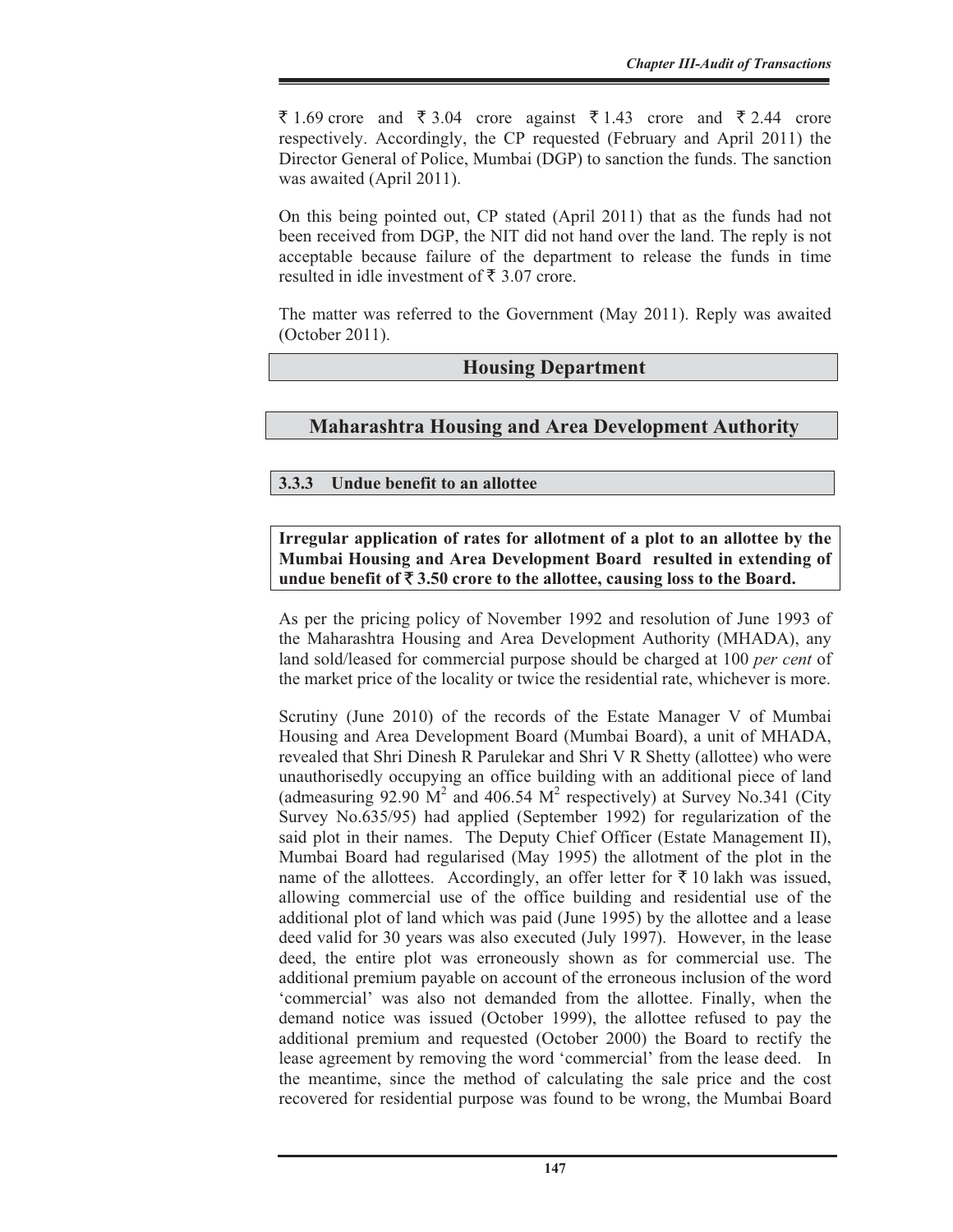₹ 1.69 crore and ₹ 3.04 crore against ₹ 1.43 crore and ₹ 2.44 crore respectively. Accordingly, the CP requested (February and April 2011) the Director General of Police, Mumbai (DGP) to sanction the funds. The sanction was awaited (April 2011).

On this being pointed out, CP stated (April 2011) that as the funds had not been received from DGP, the NIT did not hand over the land. The reply is not acceptable because failure of the department to release the funds in time resulted in idle investment of  $\bar{\tau}$  3.07 crore.

The matter was referred to the Government (May 2011). Reply was awaited (October 2011).

## **Housing Department**

## **Maharashtra Housing and Area Development Authority**

## **3.3.3 Undue benefit to an allottee**

## **Irregular application of rates for allotment of a plot to an allottee by the Mumbai Housing and Area Development Board resulted in extending of**  undue benefit of  $\bar{\tau}$  3.50 crore to the allottee, causing loss to the Board.

As per the pricing policy of November 1992 and resolution of June 1993 of the Maharashtra Housing and Area Development Authority (MHADA), any land sold/leased for commercial purpose should be charged at 100 *per cent* of the market price of the locality or twice the residential rate, whichever is more.

Scrutiny (June 2010) of the records of the Estate Manager V of Mumbai Housing and Area Development Board (Mumbai Board), a unit of MHADA, revealed that Shri Dinesh R Parulekar and Shri V R Shetty (allottee) who were unauthorisedly occupying an office building with an additional piece of land (admeasuring 92.90  $\dot{M}^2$  and 406.54  $\dot{M}^2$  respectively) at Survey No.341 (City Survey No.635/95) had applied (September 1992) for regularization of the said plot in their names. The Deputy Chief Officer (Estate Management II), Mumbai Board had regularised (May 1995) the allotment of the plot in the name of the allottees. Accordingly, an offer letter for  $\bar{\tau}$  10 lakh was issued, allowing commercial use of the office building and residential use of the additional plot of land which was paid (June 1995) by the allottee and a lease deed valid for 30 years was also executed (July 1997). However, in the lease deed, the entire plot was erroneously shown as for commercial use. The additional premium payable on account of the erroneous inclusion of the word 'commercial' was also not demanded from the allottee. Finally, when the demand notice was issued (October 1999), the allottee refused to pay the additional premium and requested (October 2000) the Board to rectify the lease agreement by removing the word 'commercial' from the lease deed. In the meantime, since the method of calculating the sale price and the cost recovered for residential purpose was found to be wrong, the Mumbai Board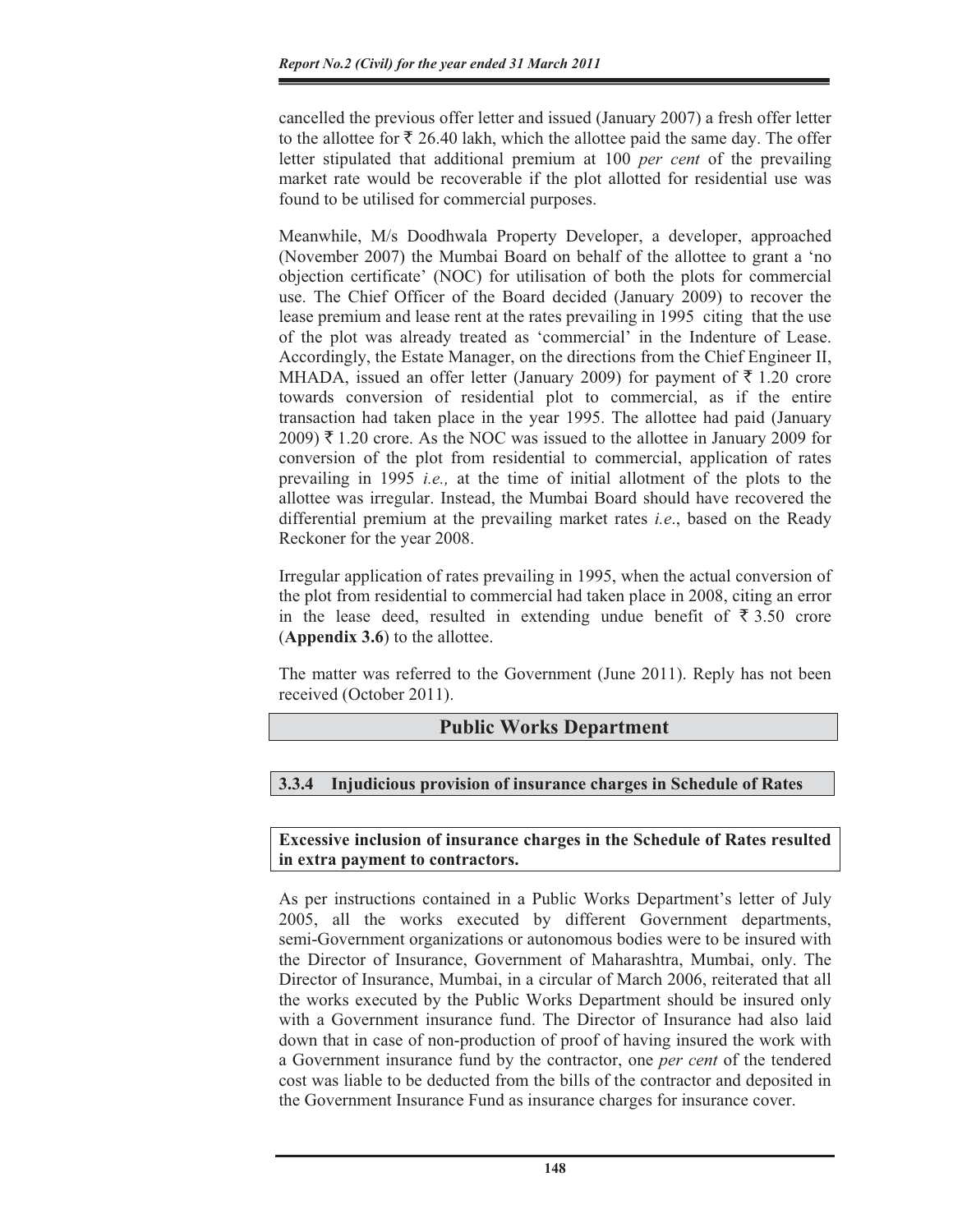cancelled the previous offer letter and issued (January 2007) a fresh offer letter to the allottee for  $\bar{\xi}$  26.40 lakh, which the allottee paid the same day. The offer letter stipulated that additional premium at 100 *per cent* of the prevailing market rate would be recoverable if the plot allotted for residential use was found to be utilised for commercial purposes.

Meanwhile, M/s Doodhwala Property Developer, a developer, approached (November 2007) the Mumbai Board on behalf of the allottee to grant a 'no objection certificate' (NOC) for utilisation of both the plots for commercial use. The Chief Officer of the Board decided (January 2009) to recover the lease premium and lease rent at the rates prevailing in 1995 citing that the use of the plot was already treated as 'commercial' in the Indenture of Lease. Accordingly, the Estate Manager, on the directions from the Chief Engineer II, MHADA, issued an offer letter (January 2009) for payment of  $\bar{\tau}$  1.20 crore towards conversion of residential plot to commercial, as if the entire transaction had taken place in the year 1995. The allottee had paid (January 2009) ₹ 1.20 crore. As the NOC was issued to the allottee in January 2009 for conversion of the plot from residential to commercial, application of rates prevailing in 1995 *i.e.,* at the time of initial allotment of the plots to the allottee was irregular. Instead, the Mumbai Board should have recovered the differential premium at the prevailing market rates *i.e*., based on the Ready Reckoner for the year 2008.

Irregular application of rates prevailing in 1995, when the actual conversion of the plot from residential to commercial had taken place in 2008, citing an error in the lease deed, resulted in extending undue benefit of  $\bar{\tau}$  3.50 crore (**Appendix 3.6**) to the allottee.

The matter was referred to the Government (June 2011). Reply has not been received (October 2011).

## **Public Works Department**

## **3.3.4 Injudicious provision of insurance charges in Schedule of Rates**

**Excessive inclusion of insurance charges in the Schedule of Rates resulted in extra payment to contractors.** 

As per instructions contained in a Public Works Department's letter of July 2005, all the works executed by different Government departments, semi-Government organizations or autonomous bodies were to be insured with the Director of Insurance, Government of Maharashtra, Mumbai, only. The Director of Insurance, Mumbai, in a circular of March 2006, reiterated that all the works executed by the Public Works Department should be insured only with a Government insurance fund. The Director of Insurance had also laid down that in case of non-production of proof of having insured the work with a Government insurance fund by the contractor, one *per cent* of the tendered cost was liable to be deducted from the bills of the contractor and deposited in the Government Insurance Fund as insurance charges for insurance cover.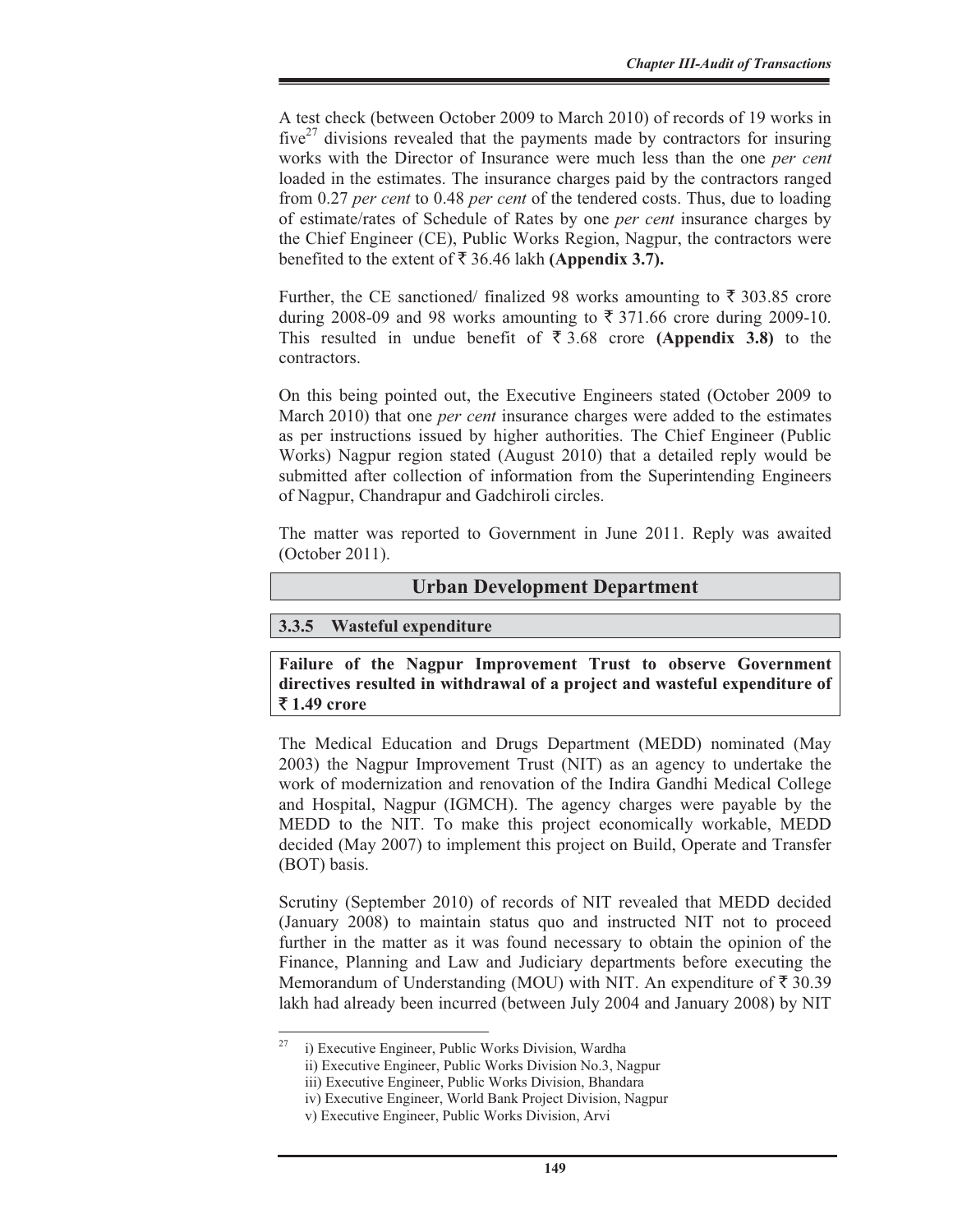A test check (between October 2009 to March 2010) of records of 19 works in  $five^{27}$  divisions revealed that the payments made by contractors for insuring works with the Director of Insurance were much less than the one *per cent* loaded in the estimates. The insurance charges paid by the contractors ranged from 0.27 *per cent* to 0.48 *per cent* of the tendered costs. Thus, due to loading of estimate/rates of Schedule of Rates by one *per cent* insurance charges by the Chief Engineer (CE), Public Works Region, Nagpur, the contractors were benefited to the extent of  $\bar{\tau}$  36.46 lakh **(Appendix 3.7).** 

Further, the CE sanctioned/ finalized 98 works amounting to  $\bar{\tau}$  303.85 crore during 2008-09 and 98 works amounting to  $\bar{\tau}$  371.66 crore during 2009-10. This resulted in undue benefit of  $\overline{\xi}$  3.68 crore **(Appendix 3.8)** to the contractors.

On this being pointed out, the Executive Engineers stated (October 2009 to March 2010) that one *per cent* insurance charges were added to the estimates as per instructions issued by higher authorities. The Chief Engineer (Public Works) Nagpur region stated (August 2010) that a detailed reply would be submitted after collection of information from the Superintending Engineers of Nagpur, Chandrapur and Gadchiroli circles.

The matter was reported to Government in June 2011. Reply was awaited (October 2011).

#### **Urban Development Department**

#### **3.3.5 Wasteful expenditure**

**Failure of the Nagpur Improvement Trust to observe Government directives resulted in withdrawal of a project and wasteful expenditure of**  ` **1.49 crore** 

The Medical Education and Drugs Department (MEDD) nominated (May 2003) the Nagpur Improvement Trust (NIT) as an agency to undertake the work of modernization and renovation of the Indira Gandhi Medical College and Hospital, Nagpur (IGMCH). The agency charges were payable by the MEDD to the NIT. To make this project economically workable, MEDD decided (May 2007) to implement this project on Build, Operate and Transfer (BOT) basis.

Scrutiny (September 2010) of records of NIT revealed that MEDD decided (January 2008) to maintain status quo and instructed NIT not to proceed further in the matter as it was found necessary to obtain the opinion of the Finance, Planning and Law and Judiciary departments before executing the Memorandum of Understanding (MOU) with NIT. An expenditure of  $\bar{\tau}$  30.39 lakh had already been incurred (between July 2004 and January 2008) by NIT

i) Executive Engineer, Public Works Division, Wardha

ii) Executive Engineer, Public Works Division No.3, Nagpur

iii) Executive Engineer, Public Works Division, Bhandara

iv) Executive Engineer, World Bank Project Division, Nagpur

v) Executive Engineer, Public Works Division, Arvi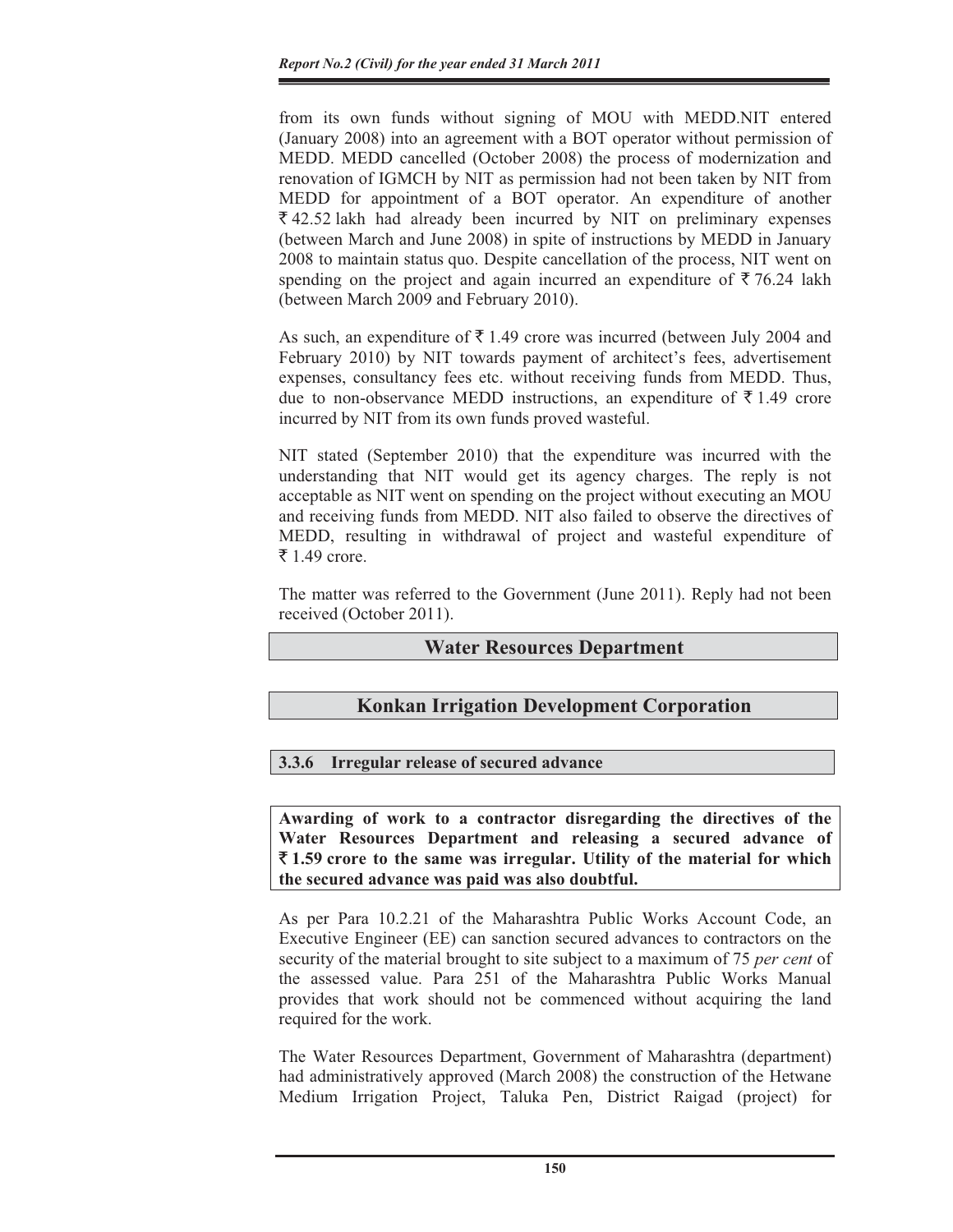from its own funds without signing of MOU with MEDD.NIT entered (January 2008) into an agreement with a BOT operator without permission of MEDD. MEDD cancelled (October 2008) the process of modernization and renovation of IGMCH by NIT as permission had not been taken by NIT from MEDD for appointment of a BOT operator. An expenditure of another  $\overline{\xi}$  42.52 lakh had already been incurred by NIT on preliminary expenses (between March and June 2008) in spite of instructions by MEDD in January 2008 to maintain status quo. Despite cancellation of the process, NIT went on spending on the project and again incurred an expenditure of  $\bar{\tau}$  76.24 lakh (between March 2009 and February 2010).

As such, an expenditure of  $\bar{\tau}$  1.49 crore was incurred (between July 2004 and February 2010) by NIT towards payment of architect's fees, advertisement expenses, consultancy fees etc. without receiving funds from MEDD. Thus, due to non-observance MEDD instructions, an expenditure of  $\bar{\tau}$  1.49 crore incurred by NIT from its own funds proved wasteful.

NIT stated (September 2010) that the expenditure was incurred with the understanding that NIT would get its agency charges. The reply is not acceptable as NIT went on spending on the project without executing an MOU and receiving funds from MEDD. NIT also failed to observe the directives of MEDD, resulting in withdrawal of project and wasteful expenditure of ₹ 1.49 crore.

The matter was referred to the Government (June 2011). Reply had not been received (October 2011).

## **Water Resources Department**

## **Konkan Irrigation Development Corporation**

## **3.3.6 Irregular release of secured advance**

**Awarding of work to a contractor disregarding the directives of the Water Resources Department and releasing a secured advance of**  ` **1.59 crore to the same was irregular. Utility of the material for which the secured advance was paid was also doubtful.** 

As per Para 10.2.21 of the Maharashtra Public Works Account Code, an Executive Engineer (EE) can sanction secured advances to contractors on the security of the material brought to site subject to a maximum of 75 *per cent* of the assessed value. Para 251 of the Maharashtra Public Works Manual provides that work should not be commenced without acquiring the land required for the work.

The Water Resources Department, Government of Maharashtra (department) had administratively approved (March 2008) the construction of the Hetwane Medium Irrigation Project, Taluka Pen, District Raigad (project) for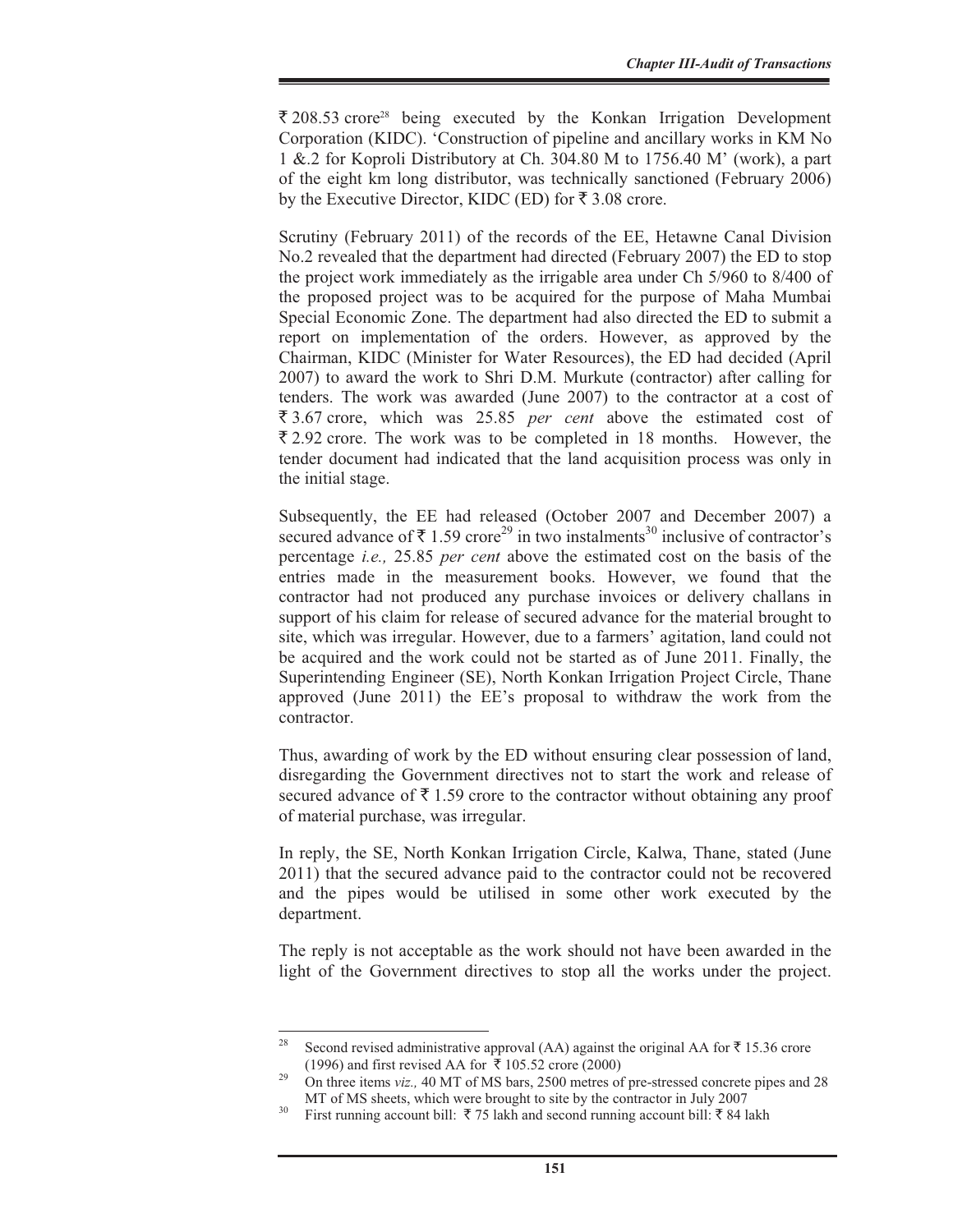$\bar{\xi}$  208.53 crore<sup>28</sup> being executed by the Konkan Irrigation Development Corporation (KIDC). 'Construction of pipeline and ancillary works in KM No 1 &.2 for Koproli Distributory at Ch. 304.80 M to 1756.40 M' (work), a part of the eight km long distributor, was technically sanctioned (February 2006) by the Executive Director, KIDC (ED) for  $\bar{\tau}$  3.08 crore.

Scrutiny (February 2011) of the records of the EE, Hetawne Canal Division No.2 revealed that the department had directed (February 2007) the ED to stop the project work immediately as the irrigable area under Ch 5/960 to 8/400 of the proposed project was to be acquired for the purpose of Maha Mumbai Special Economic Zone. The department had also directed the ED to submit a report on implementation of the orders. However, as approved by the Chairman, KIDC (Minister for Water Resources), the ED had decided (April 2007) to award the work to Shri D.M. Murkute (contractor) after calling for tenders. The work was awarded (June 2007) to the contractor at a cost of ₹3.67 crore, which was 25.85 *per cent* above the estimated cost of  $\bar{\xi}$  2.92 crore. The work was to be completed in 18 months. However, the tender document had indicated that the land acquisition process was only in the initial stage.

Subsequently, the EE had released (October 2007 and December 2007) a secured advance of  $\bar{\tau}$  1.59 crore<sup>29</sup> in two instalments<sup>30</sup> inclusive of contractor's percentage *i.e.,* 25.85 *per cent* above the estimated cost on the basis of the entries made in the measurement books. However, we found that the contractor had not produced any purchase invoices or delivery challans in support of his claim for release of secured advance for the material brought to site, which was irregular. However, due to a farmers' agitation, land could not be acquired and the work could not be started as of June 2011. Finally, the Superintending Engineer (SE), North Konkan Irrigation Project Circle, Thane approved (June 2011) the EE's proposal to withdraw the work from the contractor.

Thus, awarding of work by the ED without ensuring clear possession of land, disregarding the Government directives not to start the work and release of secured advance of  $\bar{\tau}$  1.59 crore to the contractor without obtaining any proof of material purchase, was irregular.

In reply, the SE, North Konkan Irrigation Circle, Kalwa, Thane, stated (June 2011) that the secured advance paid to the contractor could not be recovered and the pipes would be utilised in some other work executed by the department.

The reply is not acceptable as the work should not have been awarded in the light of the Government directives to stop all the works under the project.

Second revised administrative approval (AA) against the original AA for  $\bar{\tau}$  15.36 crore (1996) and first revised AA for  $\overline{\overline{x}}$  105.52 crore (2000)<br><sup>29</sup> On three items *viz.*, 40 MT of MS bars, 2500 metres of pre-stressed concrete pipes and 28

MT of MS sheets, which were brought to site by the contractor in July 2007 First running account bill:  $\bar{\tau}$  75 lakh and second running account bill:  $\bar{\tau}$  84 lakh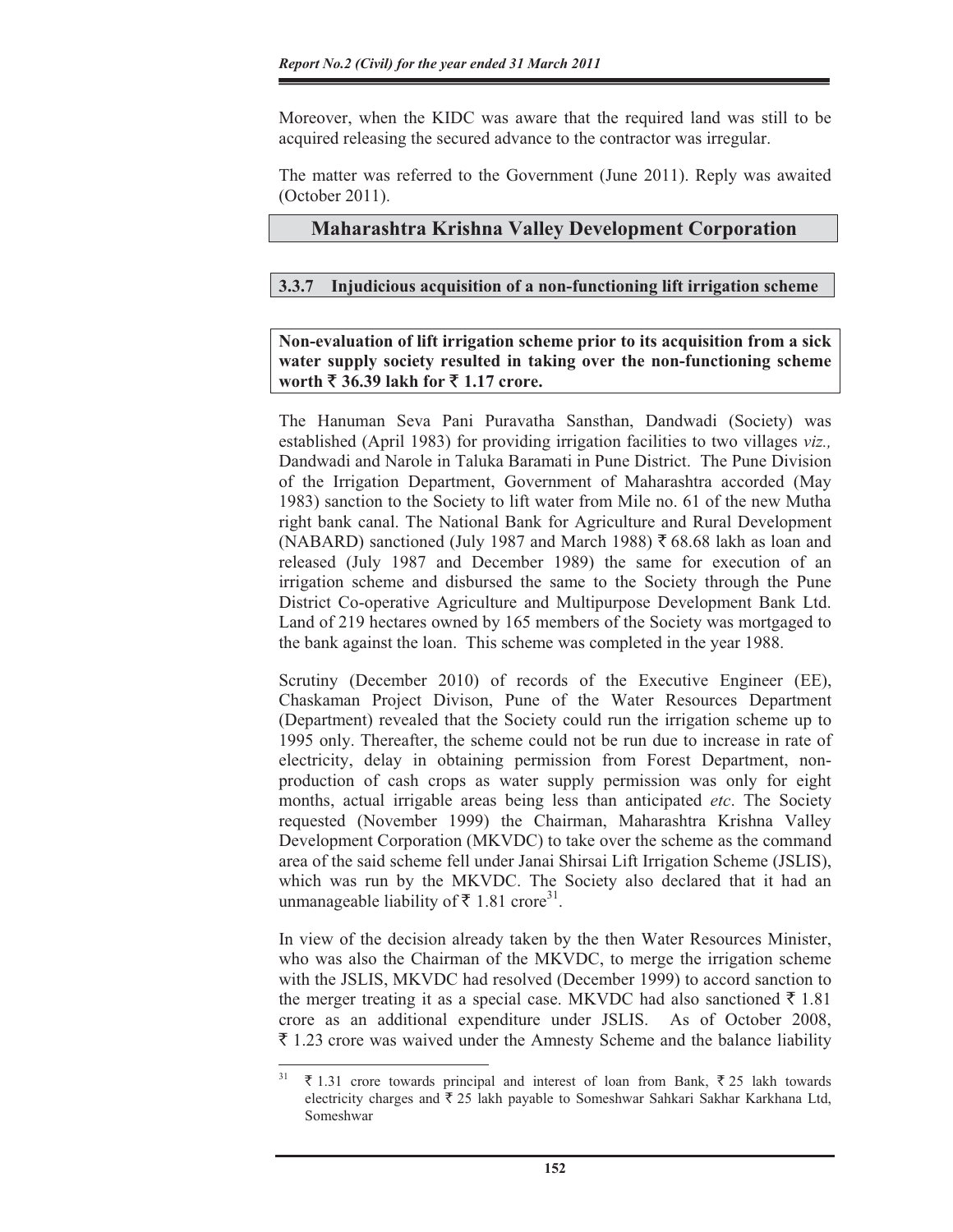Moreover, when the KIDC was aware that the required land was still to be acquired releasing the secured advance to the contractor was irregular.

The matter was referred to the Government (June 2011). Reply was awaited (October 2011).

## **Maharashtra Krishna Valley Development Corporation**

## **3.3.7 Injudicious acquisition of a non-functioning lift irrigation scheme**

**Non-evaluation of lift irrigation scheme prior to its acquisition from a sick water supply society resulted in taking over the non-functioning scheme worth** ` **36.39 lakh for** ` **1.17 crore.** 

The Hanuman Seva Pani Puravatha Sansthan, Dandwadi (Society) was established (April 1983) for providing irrigation facilities to two villages *viz.,* Dandwadi and Narole in Taluka Baramati in Pune District. The Pune Division of the Irrigation Department, Government of Maharashtra accorded (May 1983) sanction to the Society to lift water from Mile no. 61 of the new Mutha right bank canal. The National Bank for Agriculture and Rural Development (NABARD) sanctioned (July 1987 and March 1988)  $\bar{z}$  68.68 lakh as loan and released (July 1987 and December 1989) the same for execution of an irrigation scheme and disbursed the same to the Society through the Pune District Co-operative Agriculture and Multipurpose Development Bank Ltd. Land of 219 hectares owned by 165 members of the Society was mortgaged to the bank against the loan. This scheme was completed in the year 1988.

Scrutiny (December 2010) of records of the Executive Engineer (EE), Chaskaman Project Divison, Pune of the Water Resources Department (Department) revealed that the Society could run the irrigation scheme up to 1995 only. Thereafter, the scheme could not be run due to increase in rate of electricity, delay in obtaining permission from Forest Department, nonproduction of cash crops as water supply permission was only for eight months, actual irrigable areas being less than anticipated *etc*. The Society requested (November 1999) the Chairman, Maharashtra Krishna Valley Development Corporation (MKVDC) to take over the scheme as the command area of the said scheme fell under Janai Shirsai Lift Irrigation Scheme (JSLIS), which was run by the MKVDC. The Society also declared that it had an unmanageable liability of ₹ 1.81 crore<sup>31</sup>.

In view of the decision already taken by the then Water Resources Minister, who was also the Chairman of the MKVDC, to merge the irrigation scheme with the JSLIS, MKVDC had resolved (December 1999) to accord sanction to the merger treating it as a special case. MKVDC had also sanctioned  $\bar{\tau}$  1.81 crore as an additional expenditure under JSLIS. As of October 2008,  $\bar{\tau}$  1.23 crore was waived under the Amnesty Scheme and the balance liability

 $31 \pm 1.31$  crore towards principal and interest of loan from Bank,  $\overline{2} 25$  lakh towards electricity charges and  $\bar{\tau}$  25 lakh payable to Someshwar Sahkari Sakhar Karkhana Ltd, Someshwar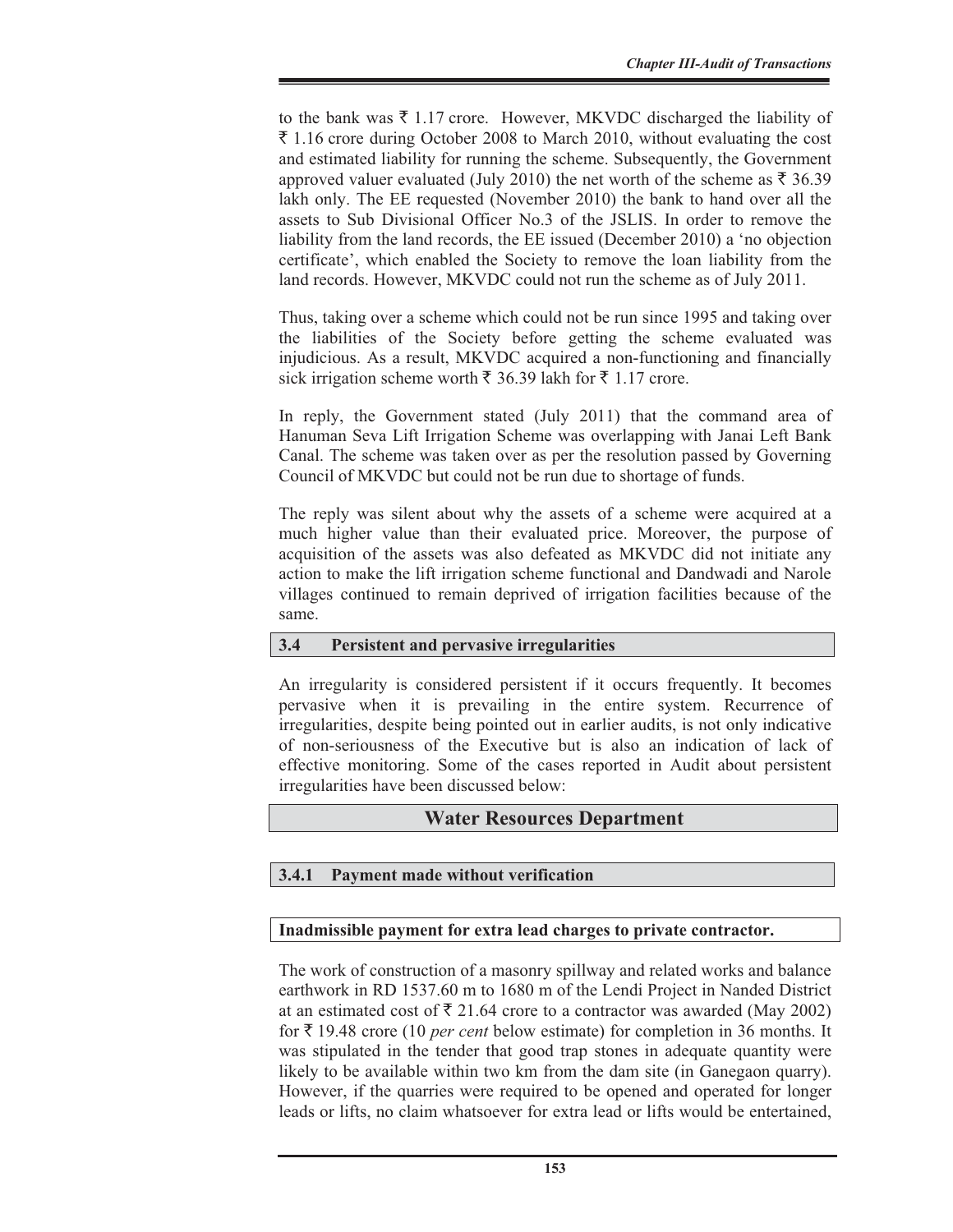to the bank was  $\bar{\tau}$  1.17 crore. However, MKVDC discharged the liability of  $\bar{\xi}$  1.16 crore during October 2008 to March 2010, without evaluating the cost and estimated liability for running the scheme. Subsequently, the Government approved valuer evaluated (July 2010) the net worth of the scheme as  $\bar{\tau}$  36.39 lakh only. The EE requested (November 2010) the bank to hand over all the assets to Sub Divisional Officer No.3 of the JSLIS. In order to remove the liability from the land records, the EE issued (December 2010) a 'no objection certificate', which enabled the Society to remove the loan liability from the land records. However, MKVDC could not run the scheme as of July 2011.

Thus, taking over a scheme which could not be run since 1995 and taking over the liabilities of the Society before getting the scheme evaluated was injudicious. As a result, MKVDC acquired a non-functioning and financially sick irrigation scheme worth  $\bar{\tau}$  36.39 lakh for  $\bar{\tau}$  1.17 crore.

In reply, the Government stated (July 2011) that the command area of Hanuman Seva Lift Irrigation Scheme was overlapping with Janai Left Bank Canal. The scheme was taken over as per the resolution passed by Governing Council of MKVDC but could not be run due to shortage of funds.

The reply was silent about why the assets of a scheme were acquired at a much higher value than their evaluated price. Moreover, the purpose of acquisition of the assets was also defeated as MKVDC did not initiate any action to make the lift irrigation scheme functional and Dandwadi and Narole villages continued to remain deprived of irrigation facilities because of the same.

## **3.4 Persistent and pervasive irregularities**

An irregularity is considered persistent if it occurs frequently. It becomes pervasive when it is prevailing in the entire system. Recurrence of irregularities, despite being pointed out in earlier audits, is not only indicative of non-seriousness of the Executive but is also an indication of lack of effective monitoring. Some of the cases reported in Audit about persistent irregularities have been discussed below:

## **Water Resources Department**

## **3.4.1 Payment made without verification**

#### **Inadmissible payment for extra lead charges to private contractor.**

The work of construction of a masonry spillway and related works and balance earthwork in RD 1537.60 m to 1680 m of the Lendi Project in Nanded District at an estimated cost of  $\bar{\xi}$  21.64 crore to a contractor was awarded (May 2002) for  $\bar{\tau}$  19.48 crore (10 *per cent* below estimate) for completion in 36 months. It was stipulated in the tender that good trap stones in adequate quantity were likely to be available within two km from the dam site (in Ganegaon quarry). However, if the quarries were required to be opened and operated for longer leads or lifts, no claim whatsoever for extra lead or lifts would be entertained,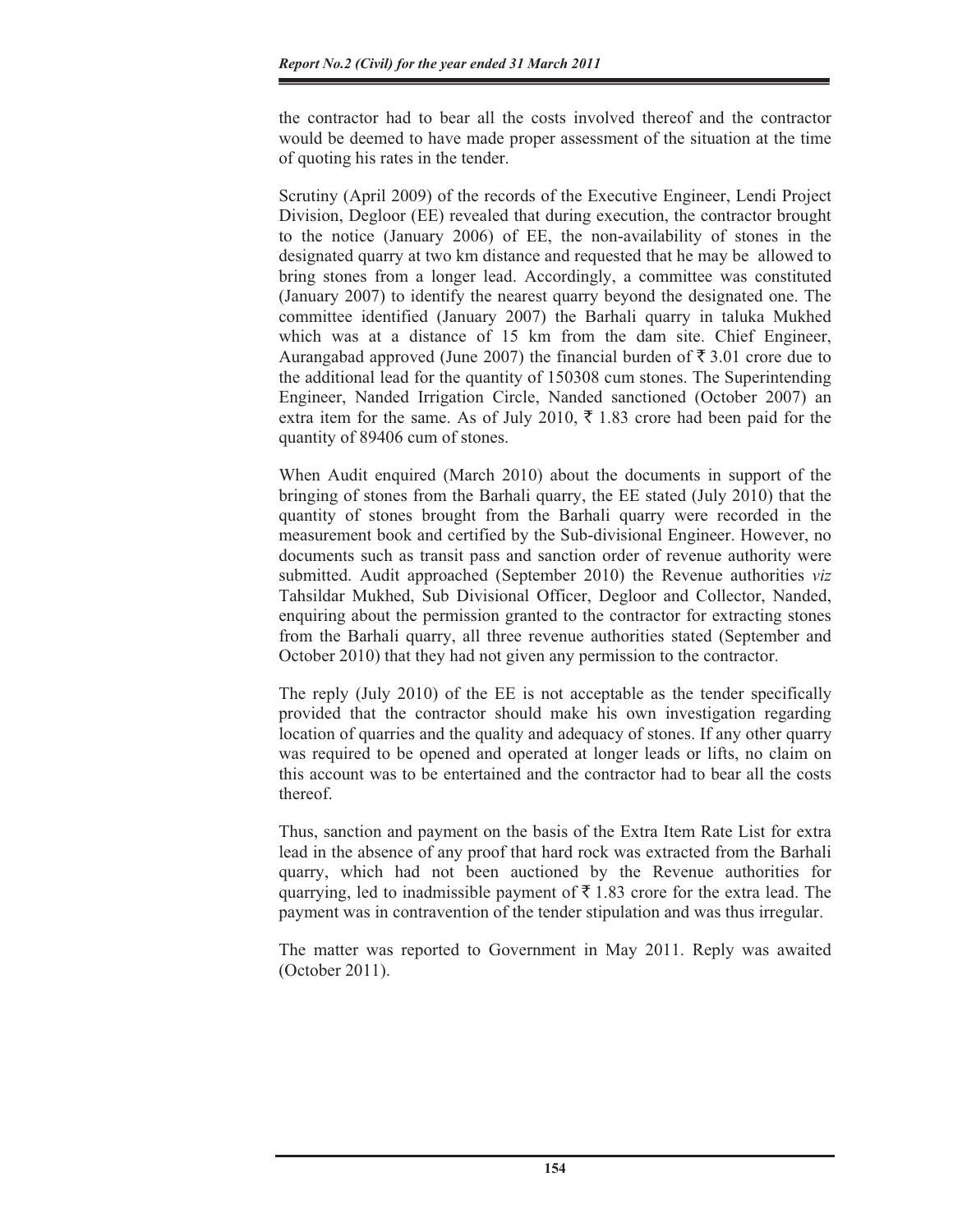the contractor had to bear all the costs involved thereof and the contractor would be deemed to have made proper assessment of the situation at the time of quoting his rates in the tender.

Scrutiny (April 2009) of the records of the Executive Engineer, Lendi Project Division, Degloor (EE) revealed that during execution, the contractor brought to the notice (January 2006) of EE, the non-availability of stones in the designated quarry at two km distance and requested that he may be allowed to bring stones from a longer lead. Accordingly, a committee was constituted (January 2007) to identify the nearest quarry beyond the designated one. The committee identified (January 2007) the Barhali quarry in taluka Mukhed which was at a distance of 15 km from the dam site. Chief Engineer, Aurangabad approved (June 2007) the financial burden of  $\bar{\tau}$  3.01 crore due to the additional lead for the quantity of 150308 cum stones. The Superintending Engineer, Nanded Irrigation Circle, Nanded sanctioned (October 2007) an extra item for the same. As of July 2010,  $\bar{\tau}$  1.83 crore had been paid for the quantity of 89406 cum of stones.

When Audit enquired (March 2010) about the documents in support of the bringing of stones from the Barhali quarry, the EE stated (July 2010) that the quantity of stones brought from the Barhali quarry were recorded in the measurement book and certified by the Sub-divisional Engineer. However, no documents such as transit pass and sanction order of revenue authority were submitted. Audit approached (September 2010) the Revenue authorities *viz* Tahsildar Mukhed, Sub Divisional Officer, Degloor and Collector, Nanded, enquiring about the permission granted to the contractor for extracting stones from the Barhali quarry, all three revenue authorities stated (September and October 2010) that they had not given any permission to the contractor.

The reply (July 2010) of the EE is not acceptable as the tender specifically provided that the contractor should make his own investigation regarding location of quarries and the quality and adequacy of stones. If any other quarry was required to be opened and operated at longer leads or lifts, no claim on this account was to be entertained and the contractor had to bear all the costs thereof.

Thus, sanction and payment on the basis of the Extra Item Rate List for extra lead in the absence of any proof that hard rock was extracted from the Barhali quarry, which had not been auctioned by the Revenue authorities for quarrying, led to inadmissible payment of  $\bar{\tau}$  1.83 crore for the extra lead. The payment was in contravention of the tender stipulation and was thus irregular.

The matter was reported to Government in May 2011. Reply was awaited (October 2011).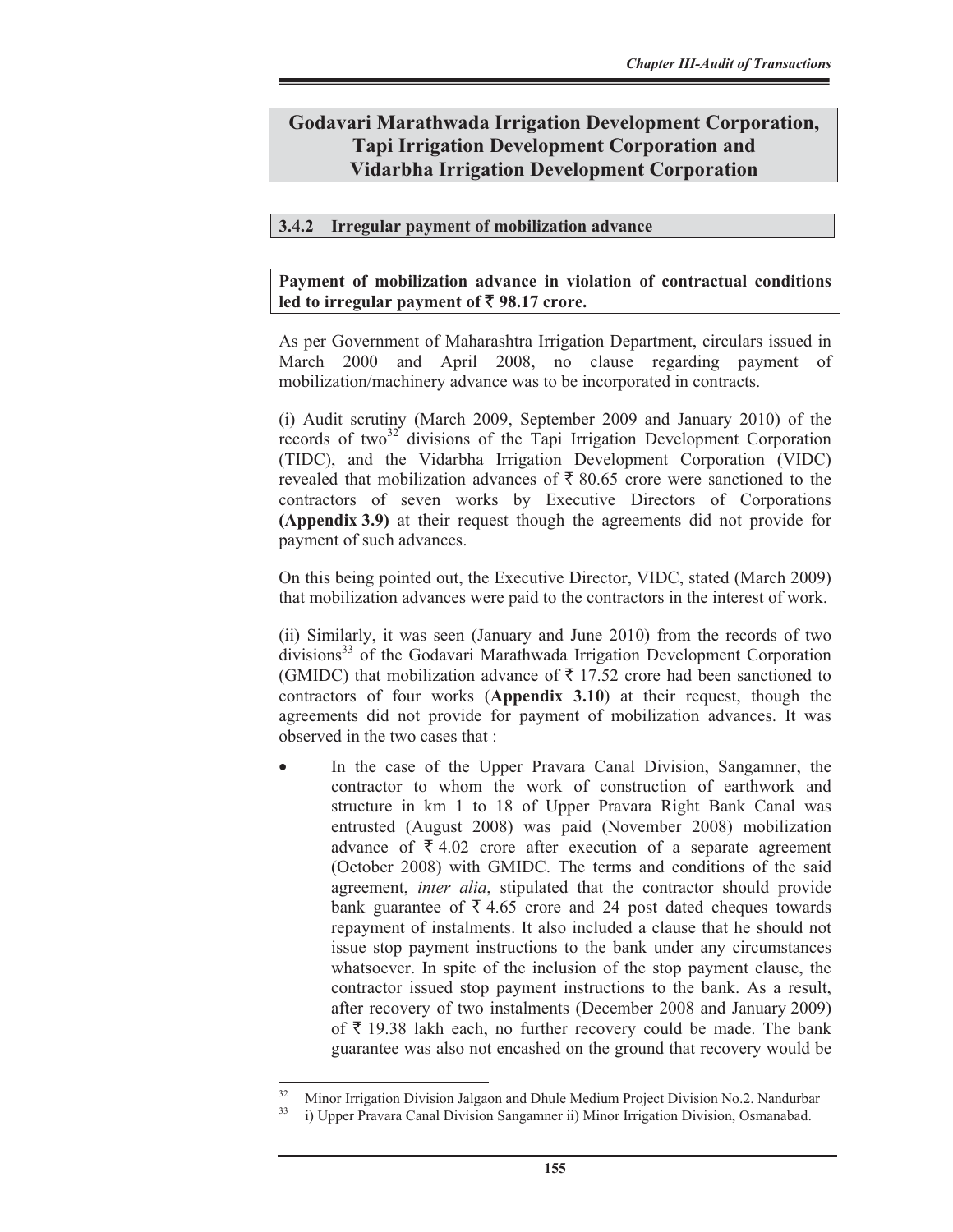## **Godavari Marathwada Irrigation Development Corporation, Tapi Irrigation Development Corporation and Vidarbha Irrigation Development Corporation**

## **3.4.2 Irregular payment of mobilization advance**

#### **Payment of mobilization advance in violation of contractual conditions led to irregular payment of** ` **98.17 crore.**

As per Government of Maharashtra Irrigation Department, circulars issued in March 2000 and April 2008, no clause regarding payment of mobilization/machinery advance was to be incorporated in contracts.

(i) Audit scrutiny (March 2009, September 2009 and January 2010) of the records of two<sup>32</sup> divisions of the Tapi Irrigation Development Corporation (TIDC), and the Vidarbha Irrigation Development Corporation (VIDC) revealed that mobilization advances of  $\bar{\tau}$  80.65 crore were sanctioned to the contractors of seven works by Executive Directors of Corporations **(Appendix 3.9)** at their request though the agreements did not provide for payment of such advances.

On this being pointed out, the Executive Director, VIDC, stated (March 2009) that mobilization advances were paid to the contractors in the interest of work.

(ii) Similarly, it was seen (January and June 2010) from the records of two divisions<sup>33</sup> of the Godavari Marathwada Irrigation Development Corporation (GMIDC) that mobilization advance of  $\bar{\tau}$  17.52 crore had been sanctioned to contractors of four works (**Appendix 3.10**) at their request, though the agreements did not provide for payment of mobilization advances. It was observed in the two cases that :

In the case of the Upper Pravara Canal Division, Sangamner, the contractor to whom the work of construction of earthwork and structure in km 1 to 18 of Upper Pravara Right Bank Canal was entrusted (August 2008) was paid (November 2008) mobilization advance of  $\bar{\tau}$  4.02 crore after execution of a separate agreement (October 2008) with GMIDC. The terms and conditions of the said agreement, *inter alia*, stipulated that the contractor should provide bank guarantee of  $\bar{\tau}$  4.65 crore and 24 post dated cheques towards repayment of instalments. It also included a clause that he should not issue stop payment instructions to the bank under any circumstances whatsoever. In spite of the inclusion of the stop payment clause, the contractor issued stop payment instructions to the bank. As a result, after recovery of two instalments (December 2008 and January 2009) of  $\bar{\tau}$  19.38 lakh each, no further recovery could be made. The bank guarantee was also not encashed on the ground that recovery would be

 $\frac{32}{2}$  Minor Irrigation Division Jalgaon and Dhule Medium Project Division No.2. Nandurbar

<sup>33</sup> i) Upper Pravara Canal Division Sangamner ii) Minor Irrigation Division, Osmanabad.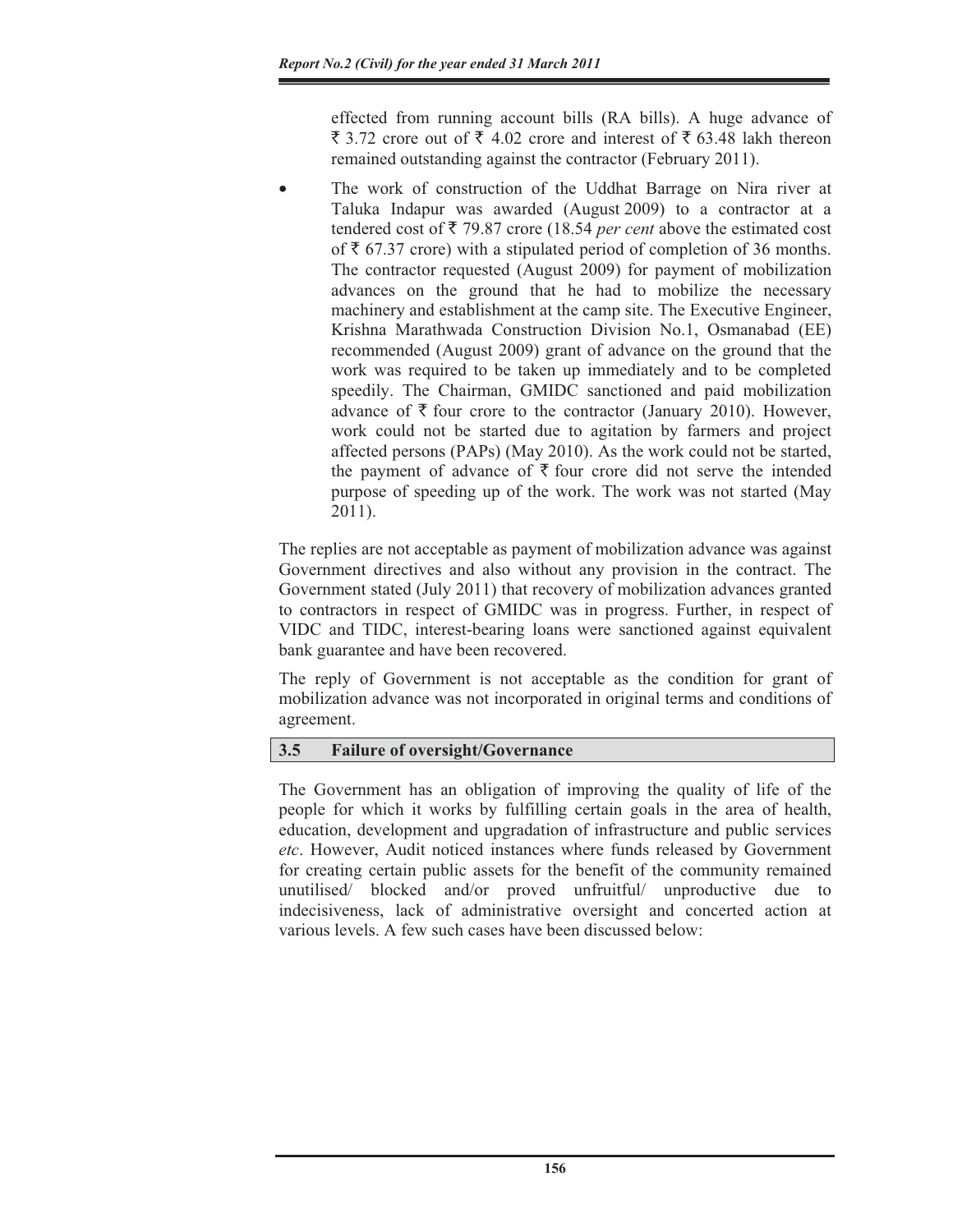effected from running account bills (RA bills). A huge advance of  $\overline{\xi}$  3.72 crore out of  $\overline{\xi}$  4.02 crore and interest of  $\overline{\xi}$  63.48 lakh thereon remained outstanding against the contractor (February 2011).

The work of construction of the Uddhat Barrage on Nira river at Taluka Indapur was awarded (August 2009) to a contractor at a tendered cost of  $\bar{\tau}$  79.87 crore (18.54 *per cent* above the estimated cost of  $\bar{\tau}$  67.37 crore) with a stipulated period of completion of 36 months. The contractor requested (August 2009) for payment of mobilization advances on the ground that he had to mobilize the necessary machinery and establishment at the camp site. The Executive Engineer, Krishna Marathwada Construction Division No.1, Osmanabad (EE) recommended (August 2009) grant of advance on the ground that the work was required to be taken up immediately and to be completed speedily. The Chairman, GMIDC sanctioned and paid mobilization advance of  $\bar{\tau}$  four crore to the contractor (January 2010). However, work could not be started due to agitation by farmers and project affected persons (PAPs) (May 2010). As the work could not be started, the payment of advance of  $\bar{\tau}$  four crore did not serve the intended purpose of speeding up of the work. The work was not started (May 2011).

The replies are not acceptable as payment of mobilization advance was against Government directives and also without any provision in the contract. The Government stated (July 2011) that recovery of mobilization advances granted to contractors in respect of GMIDC was in progress. Further, in respect of VIDC and TIDC, interest-bearing loans were sanctioned against equivalent bank guarantee and have been recovered.

The reply of Government is not acceptable as the condition for grant of mobilization advance was not incorporated in original terms and conditions of agreement.

## **3.5 Failure of oversight/Governance**

The Government has an obligation of improving the quality of life of the people for which it works by fulfilling certain goals in the area of health, education, development and upgradation of infrastructure and public services *etc*. However, Audit noticed instances where funds released by Government for creating certain public assets for the benefit of the community remained unutilised/ blocked and/or proved unfruitful/ unproductive due to indecisiveness, lack of administrative oversight and concerted action at various levels. A few such cases have been discussed below: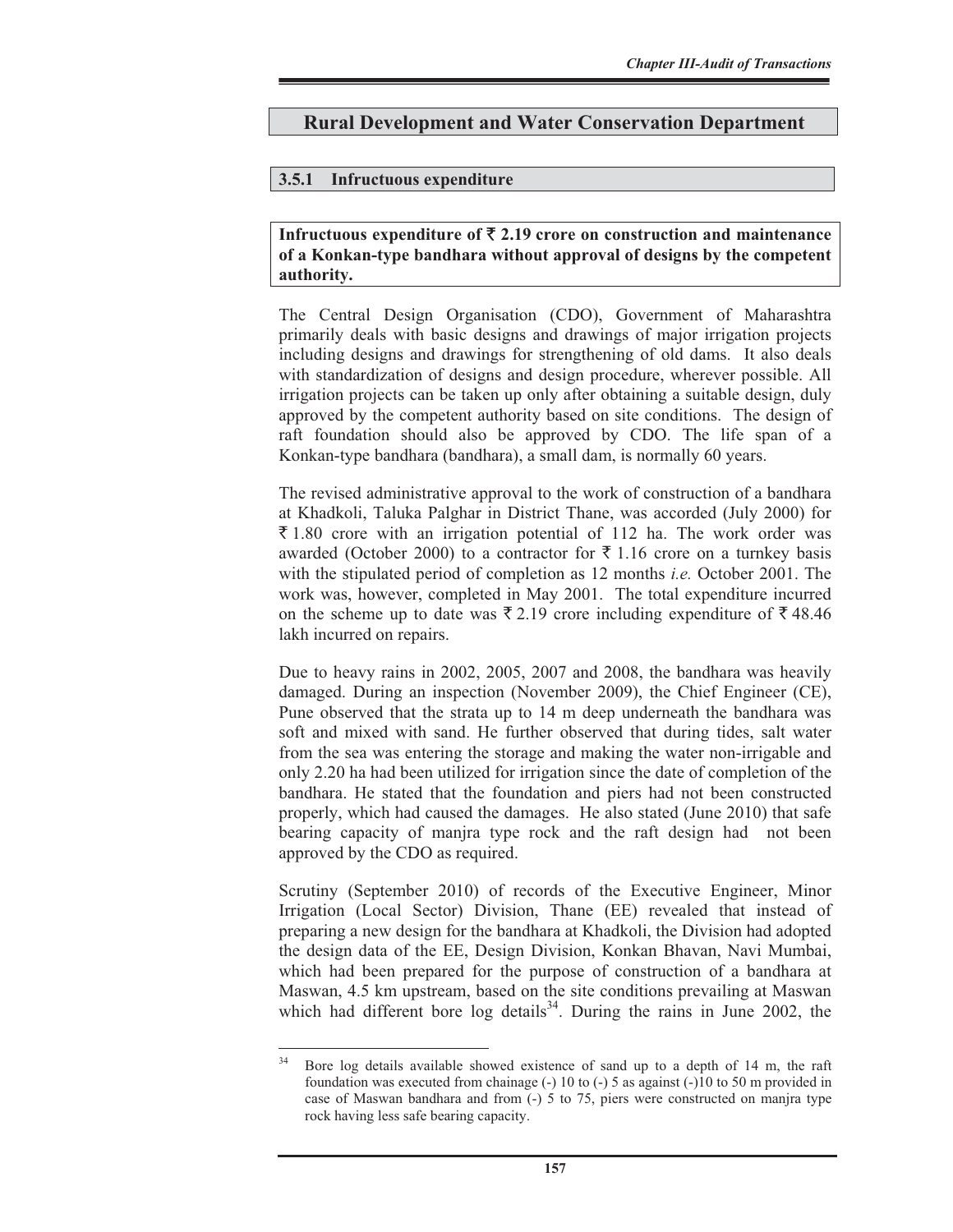## **Rural Development and Water Conservation Department**

## **3.5.1 Infructuous expenditure**

## Infructuous expenditure of  $\bar{\tau}$  2.19 crore on construction and maintenance **of a Konkan-type bandhara without approval of designs by the competent authority.**

The Central Design Organisation (CDO), Government of Maharashtra primarily deals with basic designs and drawings of major irrigation projects including designs and drawings for strengthening of old dams. It also deals with standardization of designs and design procedure, wherever possible. All irrigation projects can be taken up only after obtaining a suitable design, duly approved by the competent authority based on site conditions. The design of raft foundation should also be approved by CDO. The life span of a Konkan-type bandhara (bandhara), a small dam, is normally 60 years.

The revised administrative approval to the work of construction of a bandhara at Khadkoli, Taluka Palghar in District Thane, was accorded (July 2000) for  $\bar{\xi}$  1.80 crore with an irrigation potential of 112 ha. The work order was awarded (October 2000) to a contractor for  $\bar{\xi}$  1.16 crore on a turnkey basis with the stipulated period of completion as 12 months *i.e.* October 2001. The work was, however, completed in May 2001. The total expenditure incurred on the scheme up to date was  $\bar{\xi}$  2.19 crore including expenditure of  $\bar{\xi}$  48.46 lakh incurred on repairs.

Due to heavy rains in 2002, 2005, 2007 and 2008, the bandhara was heavily damaged. During an inspection (November 2009), the Chief Engineer (CE), Pune observed that the strata up to 14 m deep underneath the bandhara was soft and mixed with sand. He further observed that during tides, salt water from the sea was entering the storage and making the water non-irrigable and only 2.20 ha had been utilized for irrigation since the date of completion of the bandhara. He stated that the foundation and piers had not been constructed properly, which had caused the damages. He also stated (June 2010) that safe bearing capacity of manjra type rock and the raft design had not been approved by the CDO as required.

Scrutiny (September 2010) of records of the Executive Engineer, Minor Irrigation (Local Sector) Division, Thane (EE) revealed that instead of preparing a new design for the bandhara at Khadkoli, the Division had adopted the design data of the EE, Design Division, Konkan Bhavan, Navi Mumbai, which had been prepared for the purpose of construction of a bandhara at Maswan, 4.5 km upstream, based on the site conditions prevailing at Maswan which had different bore  $\log$  details<sup>34</sup>. During the rains in June 2002, the

<sup>&</sup>lt;sup>34</sup> Bore log details available showed existence of sand up to a depth of 14 m, the raft foundation was executed from chainage  $(-)$  10 to  $(-)$  5 as against  $(-)$ 10 to 50 m provided in case of Maswan bandhara and from  $(-)$  5 to 75, piers were constructed on manjra type rock having less safe bearing capacity.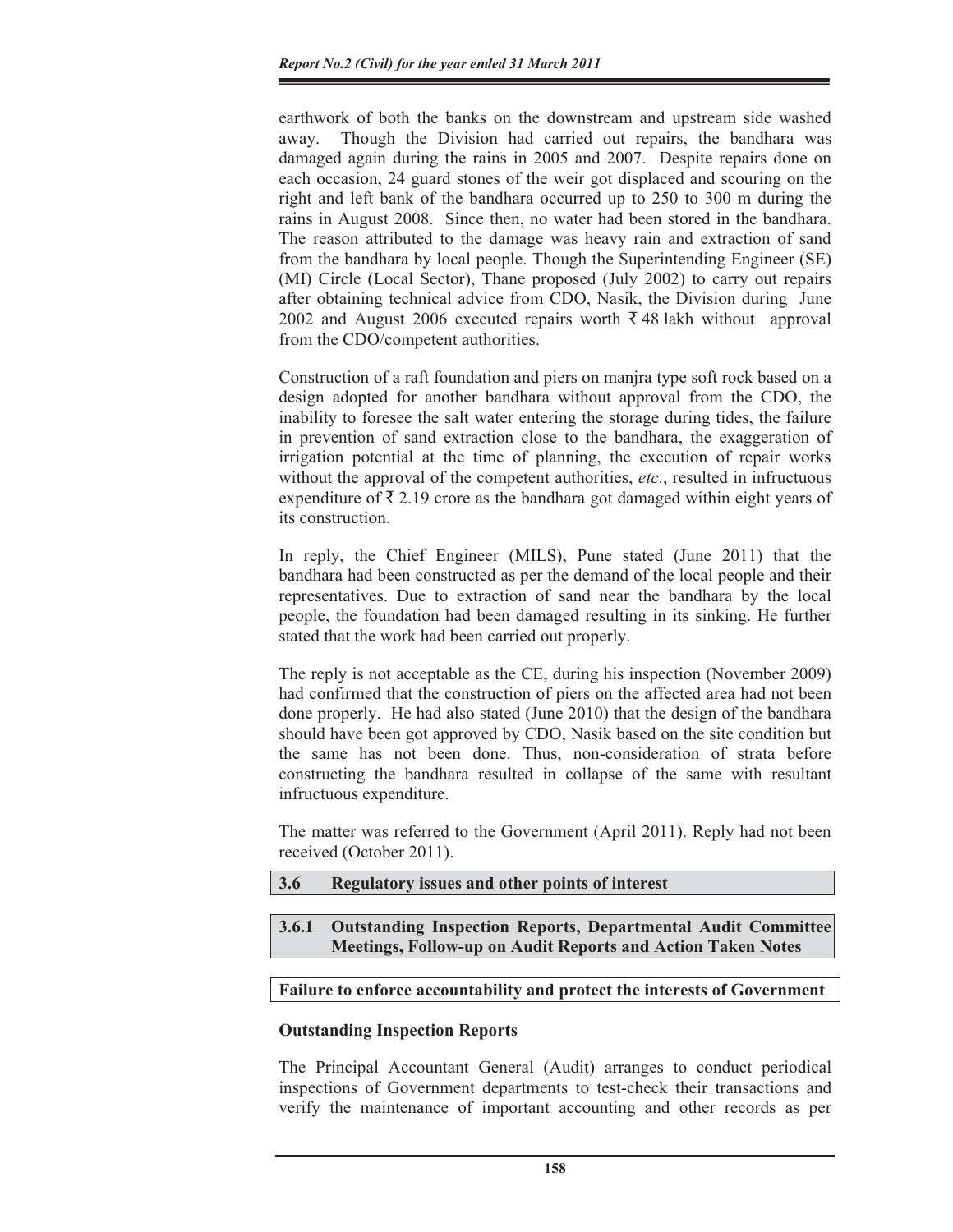earthwork of both the banks on the downstream and upstream side washed away. Though the Division had carried out repairs, the bandhara was damaged again during the rains in 2005 and 2007. Despite repairs done on each occasion, 24 guard stones of the weir got displaced and scouring on the right and left bank of the bandhara occurred up to 250 to 300 m during the rains in August 2008. Since then, no water had been stored in the bandhara. The reason attributed to the damage was heavy rain and extraction of sand from the bandhara by local people. Though the Superintending Engineer (SE) (MI) Circle (Local Sector), Thane proposed (July 2002) to carry out repairs after obtaining technical advice from CDO, Nasik, the Division during June 2002 and August 2006 executed repairs worth  $\bar{\xi}$  48 lakh without approval from the CDO/competent authorities.

Construction of a raft foundation and piers on manjra type soft rock based on a design adopted for another bandhara without approval from the CDO, the inability to foresee the salt water entering the storage during tides, the failure in prevention of sand extraction close to the bandhara, the exaggeration of irrigation potential at the time of planning, the execution of repair works without the approval of the competent authorities, *etc*., resulted in infructuous expenditure of  $\bar{\tau}$  2.19 crore as the bandhara got damaged within eight years of its construction.

In reply, the Chief Engineer (MILS), Pune stated (June 2011) that the bandhara had been constructed as per the demand of the local people and their representatives. Due to extraction of sand near the bandhara by the local people, the foundation had been damaged resulting in its sinking. He further stated that the work had been carried out properly.

The reply is not acceptable as the CE, during his inspection (November 2009) had confirmed that the construction of piers on the affected area had not been done properly. He had also stated (June 2010) that the design of the bandhara should have been got approved by CDO, Nasik based on the site condition but the same has not been done. Thus, non-consideration of strata before constructing the bandhara resulted in collapse of the same with resultant infructuous expenditure.

The matter was referred to the Government (April 2011). Reply had not been received (October 2011).

- **3.6 Regulatory issues and other points of interest**
- **3.6.1 Outstanding Inspection Reports, Departmental Audit Committee Meetings, Follow-up on Audit Reports and Action Taken Notes**

#### **Failure to enforce accountability and protect the interests of Government**

#### **Outstanding Inspection Reports**

The Principal Accountant General (Audit) arranges to conduct periodical inspections of Government departments to test-check their transactions and verify the maintenance of important accounting and other records as per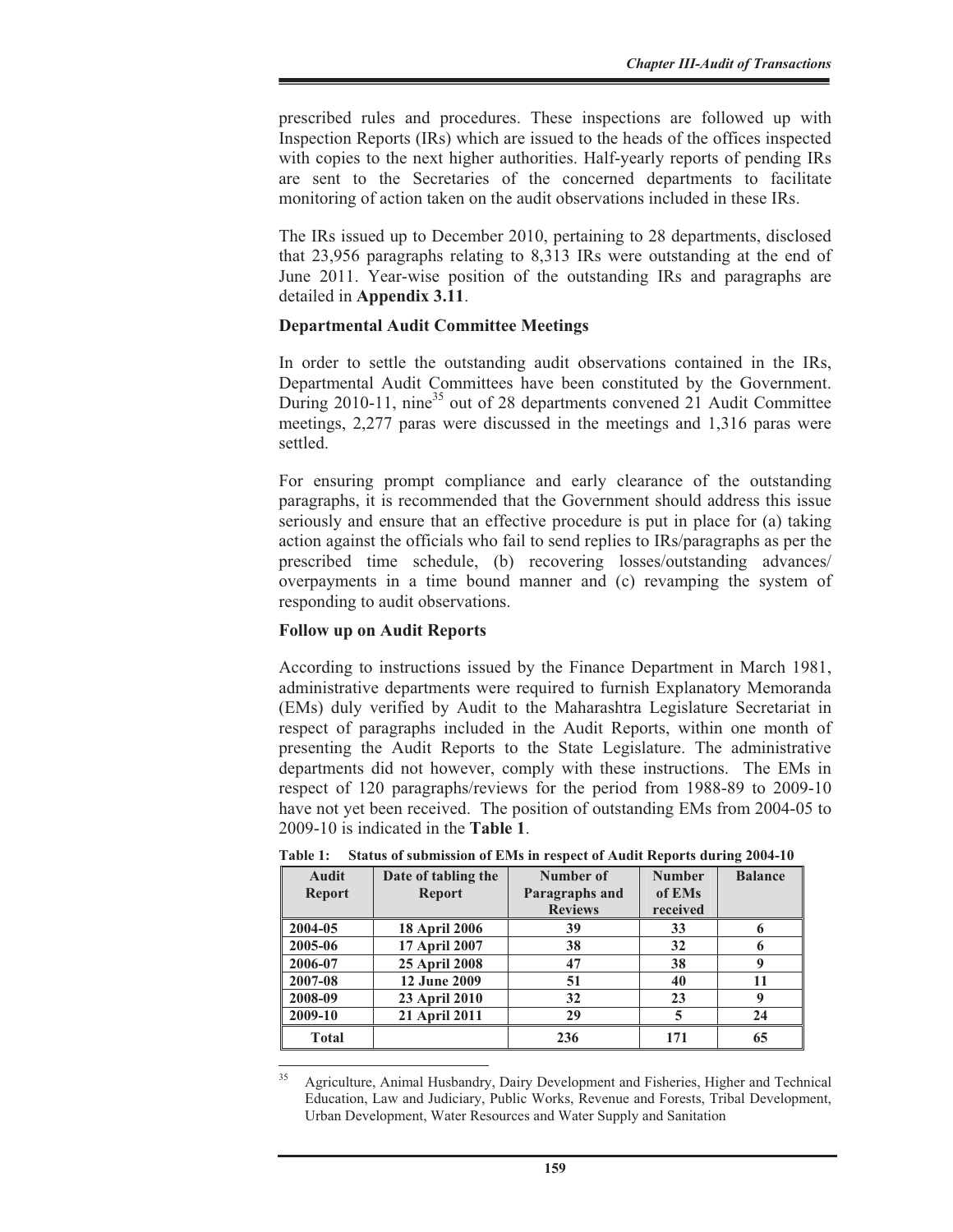prescribed rules and procedures. These inspections are followed up with Inspection Reports (IRs) which are issued to the heads of the offices inspected with copies to the next higher authorities. Half-yearly reports of pending IRs are sent to the Secretaries of the concerned departments to facilitate monitoring of action taken on the audit observations included in these IRs.

The IRs issued up to December 2010, pertaining to 28 departments, disclosed that 23,956 paragraphs relating to 8,313 IRs were outstanding at the end of June 2011. Year-wise position of the outstanding IRs and paragraphs are detailed in **Appendix 3.11**.

#### **Departmental Audit Committee Meetings**

In order to settle the outstanding audit observations contained in the IRs, Departmental Audit Committees have been constituted by the Government. During 2010-11, nine<sup>35</sup> out of 28 departments convened 21 Audit Committee meetings, 2,277 paras were discussed in the meetings and 1,316 paras were settled.

For ensuring prompt compliance and early clearance of the outstanding paragraphs, it is recommended that the Government should address this issue seriously and ensure that an effective procedure is put in place for (a) taking action against the officials who fail to send replies to IRs/paragraphs as per the prescribed time schedule, (b) recovering losses/outstanding advances/ overpayments in a time bound manner and (c) revamping the system of responding to audit observations.

## **Follow up on Audit Reports**

According to instructions issued by the Finance Department in March 1981, administrative departments were required to furnish Explanatory Memoranda (EMs) duly verified by Audit to the Maharashtra Legislature Secretariat in respect of paragraphs included in the Audit Reports, within one month of presenting the Audit Reports to the State Legislature. The administrative departments did not however, comply with these instructions. The EMs in respect of 120 paragraphs/reviews for the period from 1988-89 to 2009-10 have not yet been received. The position of outstanding EMs from 2004-05 to 2009-10 is indicated in the **Table 1**.

| Audit         | Date of tabling the  | Number of      | <b>Number</b> | <b>Balance</b> |
|---------------|----------------------|----------------|---------------|----------------|
| <b>Report</b> | <b>Report</b>        | Paragraphs and | of EMs        |                |
|               |                      | <b>Reviews</b> | received      |                |
| 2004-05       | <b>18 April 2006</b> | 39             | 33            | 6              |
| 2005-06       | 17 April 2007        | 38             | 32            | 6              |
| 2006-07       | <b>25 April 2008</b> | 47             | 38            | 9              |
| 2007-08       | <b>12 June 2009</b>  | 51             | 40            | 11             |
| 2008-09       | 23 April 2010        | 32             | 23            | 9              |
| 2009-10       | 21 April 2011        | 29             | 5             | 24             |
| <b>Total</b>  |                      | 236            | 171           | 65             |

**Table 1: Status of submission of EMs in respect of Audit Reports during 2004-10** 

<sup>&</sup>lt;sup>35</sup> Agriculture, Animal Husbandry, Dairy Development and Fisheries, Higher and Technical Education, Law and Judiciary, Public Works, Revenue and Forests, Tribal Development, Urban Development, Water Resources and Water Supply and Sanitation